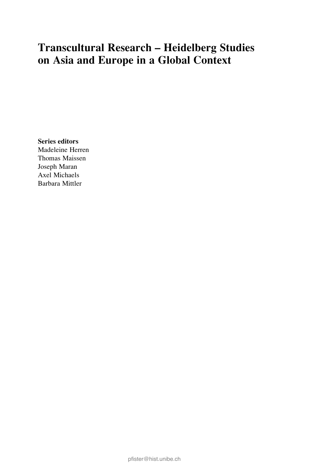# Transcultural Research – Heidelberg Studies on Asia and Europe in a Global Context

Series editors Madeleine Herren Thomas Maissen Joseph Maran Axel Michaels Barbara Mittler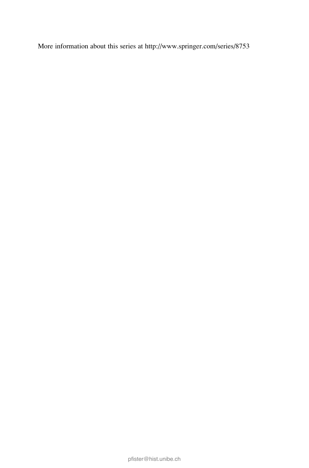More information about this series at http://www.springer.com/series/8753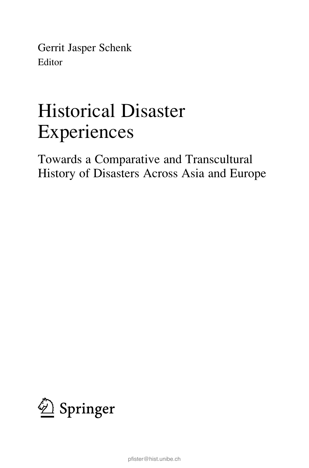Gerrit Jasper Schenk Editor

# Historical Disaster Experiences

Towards a Comparative and Transcultural History of Disasters Across Asia and Europe



pfister@hist.unibe.ch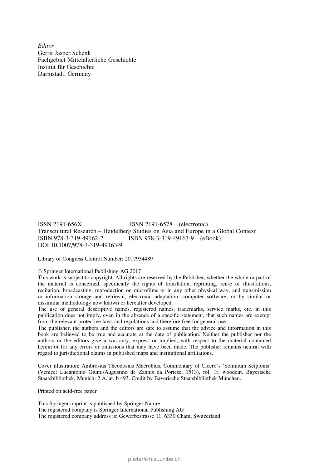**Editor** Gerrit Jasper Schenk Fachgebiet Mittelalterliche Geschichte Institut für Geschichte Darmstadt, Germany

ISSN 2191-656X ISSN 2191-6578 (electronic) Transcultural Research – Heidelberg Studies on Asia and Europe in a Global Context  $ISBN 978-3-319-49163-9$  (eBook) DOI 10.1007/978-3-319-49163-9

Library of Congress Control Number: 2017934489

#### © Springer International Publishing AG 2017

This work is subject to copyright. All rights are reserved by the Publisher, whether the whole or part of the material is concerned, specifically the rights of translation, reprinting, reuse of illustrations, recitation, broadcasting, reproduction on microfilms or in any other physical way, and transmission or information storage and retrieval, electronic adaptation, computer software, or by similar or dissimilar methodology now known or hereafter developed.

The use of general descriptive names, registered names, trademarks, service marks, etc. in this publication does not imply, even in the absence of a specific statement, that such names are exempt from the relevant protective laws and regulations and therefore free for general use.

The publisher, the authors and the editors are safe to assume that the advice and information in this book are believed to be true and accurate at the date of publication. Neither the publisher nor the authors or the editors give a warranty, express or implied, with respect to the material contained herein or for any errors or omissions that may have been made. The publisher remains neutral with regard to jurisdictional claims in published maps and institutional affiliations.

Cover illustration: Ambrosius Theodosius Macrobius, Commentary of Cicero's 'Somnium Scipionis' (Venice: Lucantonio Giunti/Augustino de Zannis da Portese, 1513), fol. 1r, woodcut. Bayerische Staatsbibliothek, Munich: 2 A.lat. b 493. Credit by Bayerische Staatsbibliothek München.

Printed on acid-free paper

This Springer imprint is published by Springer Nature The registered company is Springer International Publishing AG The registered company address is: Gewerbestrasse 11, 6330 Cham, Switzerland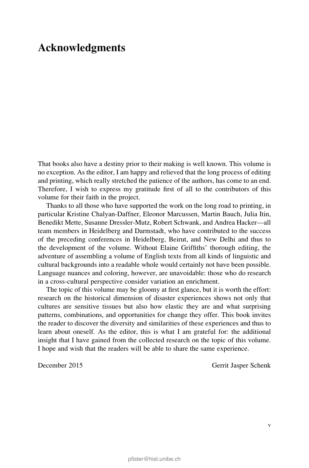# Acknowledgments

That books also have a destiny prior to their making is well known. This volume is no exception. As the editor, I am happy and relieved that the long process of editing and printing, which really stretched the patience of the authors, has come to an end. Therefore, I wish to express my gratitude first of all to the contributors of this volume for their faith in the project.

Thanks to all those who have supported the work on the long road to printing, in particular Kristine Chalyan-Daffner, Eleonor Marcussen, Martin Bauch, Julia Itin, Benedikt Mette, Susanne Dressler-Mutz, Robert Schwank, and Andrea Hacker—all team members in Heidelberg and Darmstadt, who have contributed to the success of the preceding conferences in Heidelberg, Beirut, and New Delhi and thus to the development of the volume. Without Elaine Griffiths' thorough editing, the adventure of assembling a volume of English texts from all kinds of linguistic and cultural backgrounds into a readable whole would certainly not have been possible. Language nuances and coloring, however, are unavoidable: those who do research in a cross-cultural perspective consider variation an enrichment.

The topic of this volume may be gloomy at first glance, but it is worth the effort: research on the historical dimension of disaster experiences shows not only that cultures are sensitive tissues but also how elastic they are and what surprising patterns, combinations, and opportunities for change they offer. This book invites the reader to discover the diversity and similarities of these experiences and thus to learn about oneself. As the editor, this is what I am grateful for: the additional insight that I have gained from the collected research on the topic of this volume. I hope and wish that the readers will be able to share the same experience.

December 2015 Gerrit Jasper Schenk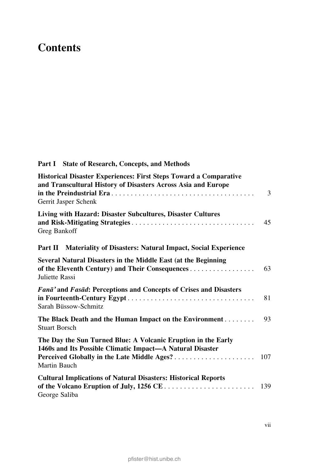# **Contents**

| Part I State of Research, Concepts, and Methods |
|-------------------------------------------------|
|                                                 |

| <b>Historical Disaster Experiences: First Steps Toward a Comparative</b><br>and Transcultural History of Disasters Across Asia and Europe<br>Gerrit Jasper Schenk | 3   |
|-------------------------------------------------------------------------------------------------------------------------------------------------------------------|-----|
| Living with Hazard: Disaster Subcultures, Disaster Cultures<br>Greg Bankoff                                                                                       | 45  |
| Part II Materiality of Disasters: Natural Impact, Social Experience                                                                                               |     |
| Several Natural Disasters in the Middle East (at the Beginning<br>of the Eleventh Century) and Their Consequences<br>Juliette Rassi                               | 63  |
| Fanā' and Fasad: Perceptions and Concepts of Crises and Disasters<br>Sarah Büssow-Schmitz                                                                         | 81  |
| The Black Death and the Human Impact on the Environment<br><b>Stuart Borsch</b>                                                                                   | 93  |
| The Day the Sun Turned Blue: A Volcanic Eruption in the Early<br>1460s and Its Possible Climatic Impact—A Natural Disaster<br>Martin Bauch                        | 107 |
| <b>Cultural Implications of Natural Disasters: Historical Reports</b><br>George Saliba                                                                            |     |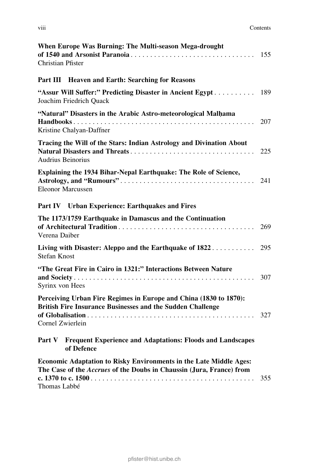| When Europe Was Burning: The Multi-season Mega-drought<br>of 1540 and Arsonist Paranoia<br>Christian Pfister                                               | 155 |  |  |  |  |
|------------------------------------------------------------------------------------------------------------------------------------------------------------|-----|--|--|--|--|
| <b>Heaven and Earth: Searching for Reasons</b><br>Part III                                                                                                 |     |  |  |  |  |
| "Assur Will Suffer:" Predicting Disaster in Ancient Egypt<br>Joachim Friedrich Quack                                                                       | 189 |  |  |  |  |
| "Natural" Disasters in the Arabic Astro-meteorological Malhama<br>Kristine Chalyan-Daffner                                                                 |     |  |  |  |  |
| Tracing the Will of the Stars: Indian Astrology and Divination About<br>Natural Disasters and Threats<br>Audrius Beinorius                                 | 225 |  |  |  |  |
| Explaining the 1934 Bihar-Nepal Earthquake: The Role of Science,<br><b>Eleonor Marcussen</b>                                                               | 241 |  |  |  |  |
| Part IV Urban Experience: Earthquakes and Fires                                                                                                            |     |  |  |  |  |
| The 1173/1759 Earthquake in Damascus and the Continuation<br>Verena Daiber                                                                                 | 269 |  |  |  |  |
| Living with Disaster: Aleppo and the Earthquake of 1822<br>Stefan Knost                                                                                    | 295 |  |  |  |  |
| "The Great Fire in Cairo in 1321:" Interactions Between Nature<br>Syrinx von Hees                                                                          | 307 |  |  |  |  |
| Perceiving Urban Fire Regimes in Europe and China (1830 to 1870):<br><b>British Fire Insurance Businesses and the Sudden Challenge</b><br>Cornel Zwierlein | 327 |  |  |  |  |
| Part V<br><b>Frequent Experience and Adaptations: Floods and Landscapes</b><br>of Defence                                                                  |     |  |  |  |  |
| Economic Adaptation to Risky Environments in the Late Middle Ages:<br>The Case of the Accrues of the Doubs in Chaussin (Jura, France) from<br>Thomas Labbé | 355 |  |  |  |  |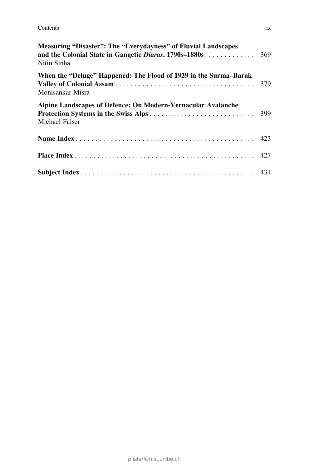| <b>Measuring "Disaster": The "Everydayness" of Fluvial Landscapes</b><br>Nitin Sinha |  |
|--------------------------------------------------------------------------------------|--|
| When the "Deluge" Happened: The Flood of 1929 in the Surma-Barak<br>Monisankar Misra |  |
| Alpine Landscapes of Defence: On Modern-Vernacular Avalanche<br>Michael Falser       |  |
|                                                                                      |  |
|                                                                                      |  |
|                                                                                      |  |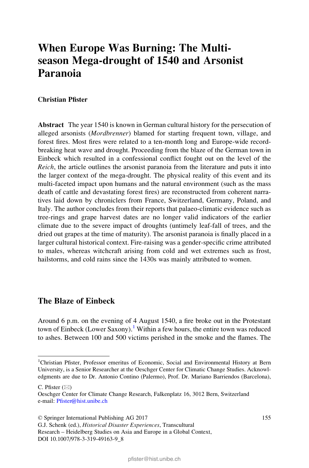# When Europe Was Burning: The Multiseason Mega-drought of 1540 and Arsonist Paranoia

#### Christian Pfister

Abstract The year 1540 is known in German cultural history for the persecution of alleged arsonists (Mordbrenner) blamed for starting frequent town, village, and forest fires. Most fires were related to a ten-month long and Europe-wide recordbreaking heat wave and drought. Proceeding from the blaze of the German town in Einbeck which resulted in a confessional conflict fought out on the level of the Reich, the article outlines the arsonist paranoia from the literature and puts it into the larger context of the mega-drought. The physical reality of this event and its multi-faceted impact upon humans and the natural environment (such as the mass death of cattle and devastating forest fires) are reconstructed from coherent narratives laid down by chroniclers from France, Switzerland, Germany, Poland, and Italy. The author concludes from their reports that palaeo-climatic evidence such as tree-rings and grape harvest dates are no longer valid indicators of the earlier climate due to the severe impact of droughts (untimely leaf-fall of trees, and the dried out grapes at the time of maturity). The arsonist paranoia is finally placed in a larger cultural historical context. Fire-raising was a gender-specific crime attributed to males, whereas witchcraft arising from cold and wet extremes such as frost, hailstorms, and cold rains since the 1430s was mainly attributed to women.

## The Blaze of Einbeck

Around 6 p.m. on the evening of 4 August 1540, a fire broke out in the Protestant town of Einbeck (Lower Saxony).<sup>1</sup> Within a few hours, the entire town was reduced to ashes. Between 100 and 500 victims perished in the smoke and the flames. The

<sup>&</sup>lt;sup>1</sup>Christian Pfister, Professor emeritus of Economic, Social and Environmental History at Bern University, is a Senior Researcher at the Oeschger Center for Climatic Change Studies. Acknowledgments are due to Dr. Antonio Contino (Palermo), Prof. Dr. Mariano Barriendos (Barcelona),

C. Pfister  $(\boxtimes)$ 

Oeschger Center for Climate Change Research, Falkenplatz 16, 3012 Bern, Switzerland e-mail: [Pfister@hist.unibe.ch](mailto:Pfister@hist.unibe.ch)

<sup>©</sup> Springer International Publishing AG 2017

G.J. Schenk (ed.), Historical Disaster Experiences, Transcultural Research – Heidelberg Studies on Asia and Europe in a Global Context, DOI 10.1007/978-3-319-49163-9\_8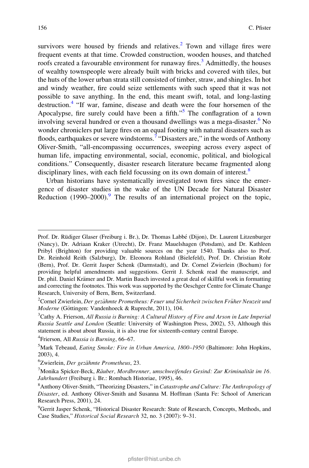survivors were housed by friends and relatives.<sup>2</sup> Town and village fires were frequent events at that time. Crowded construction, wooden houses, and thatched roofs created a favourable environment for runaway fires.<sup>3</sup> Admittedly, the houses of wealthy townspeople were already built with bricks and covered with tiles, but the huts of the lower urban strata still consisted of timber, straw, and shingles. In hot and windy weather, fire could seize settlements with such speed that it was not possible to save anything. In the end, this meant swift, total, and long-lasting destruction.<sup>4</sup> "If war, famine, disease and death were the four horsemen of the Apocalypse, fire surely could have been a fifth.<sup> $5$ </sup> The conflagration of a town involving several hundred or even a thousand dwellings was a mega-disaster.<sup>6</sup> No wonder chroniclers put large fires on an equal footing with natural disasters such as floods, earthquakes or severe windstorms.<sup>7</sup> "Disasters are," in the words of Anthony Oliver-Smith, "all-encompassing occurrences, sweeping across every aspect of human life, impacting environmental, social, economic, political, and biological conditions." Consequently, disaster research literature became fragmented along disciplinary lines, with each field focussing on its own domain of interest.<sup>8</sup>

Urban historians have systematically investigated town fires since the emergence of disaster studies in the wake of the UN Decade for Natural Disaster Reduction (1990–2000). The results of an international project on the topic,

<sup>4</sup>Frierson, All Russia is Burning, 66-67.

Prof. Dr. Rüdiger Glaser (Freiburg i. Br.), Dr. Thomas Labbe´ (Dijon), Dr. Laurent Litzenburger (Nancy), Dr. Adriaan Kraker (Utrecht), Dr. Franz Mauelshagen (Potsdam), and Dr. Kathleen Pribyl (Brighton) for providing valuable sources on the year 1540. Thanks also to Prof. Dr. Reinhold Reith (Salzburg), Dr. Eleonora Rohland (Bielefeld), Prof. Dr. Christian Rohr (Bern), Prof. Dr. Gerrit Jasper Schenk (Darmstadt), and Dr. Cornel Zwierlein (Bochum) for providing helpful amendments and suggestions. Gerrit J. Schenk read the manuscript, and Dr. phil. Daniel Krämer and Dr. Martin Bauch invested a great deal of skillful work in formatting and correcting the footnotes. This work was supported by the Oeschger Centre for Climate Change Research, University of Bern, Bern, Switzerland.

 $^2$ Cornel Zwierlein, Der gezähmte Prometheus: Feuer und Sicherheit zwischen Früher Neuzeit und Moderne (Göttingen: Vandenhoeck & Ruprecht, 2011), 104.

<sup>&</sup>lt;sup>3</sup>Cathy A. Frierson, All Russia is Burning: A Cultural History of Fire and Arson in Late Imperial Russia Seattle and London (Seattle: University of Washington Press, 2002), 53, Although this statement is about about Russia, it is also true for sixteenth-century central Europe.

<sup>&</sup>lt;sup>5</sup>Mark Tebeaud, *Eating Smoke: Fire in Urban America, 1800-1950* (Baltimore: John Hopkins, 2003), 4.

<sup>&</sup>lt;sup>6</sup>Zwierlein, Der gezähmte Prometheus, 23.

 $^7$ Monika Spicker-Beck, Räuber, Mordbrenner, umschweifendes Gesind: Zur Kriminalität im 16. Jahrhundert (Freiburg i. Br.: Rombach Historiae, 1995), 46.

<sup>&</sup>lt;sup>8</sup> Anthony Oliver-Smith, "Theorizing Disasters," in Catastrophe and Culture: The Anthropology of Disaster, ed. Anthony Oliver-Smith and Susanna M. Hoffman (Santa Fe: School of American Research Press, 2001), 24.

<sup>&</sup>lt;sup>9</sup> Gerrit Jasper Schenk, "Historical Disaster Research: State of Research, Concepts, Methods, and Case Studies," Historical Social Research 32, no. 3 (2007): 9–31.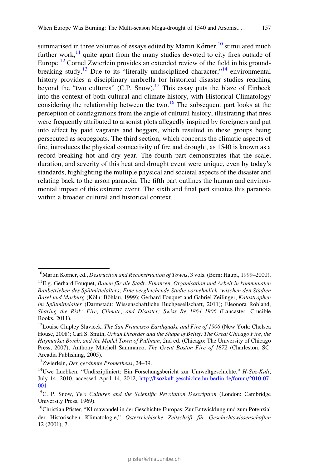summarised in three volumes of essays edited by Martin Körner,  $10<sup>10</sup>$  stimulated much further work, $\frac{11}{11}$  quite apart from the many studies devoted to city fires outside of Europe.<sup>12</sup> Cornel Zwierlein provides an extended review of the field in his groundbreaking study.<sup>13</sup> Due to its "literally undisciplined character,"<sup>14</sup> environmental history provides a disciplinary umbrella for historical disaster studies reaching beyond the "two cultures" (C.P. Snow).<sup>15</sup> This essay puts the blaze of Einbeck into the context of both cultural and climate history, with Historical Climatology considering the relationship between the two.<sup>16</sup> The subsequent part looks at the perception of conflagrations from the angle of cultural history, illustrating that fires were frequently attributed to arsonist plots allegedly inspired by foreigners and put into effect by paid vagrants and beggars, which resulted in these groups being persecuted as scapegoats. The third section, which concerns the climatic aspects of fire, introduces the physical connectivity of fire and drought, as 1540 is known as a record-breaking hot and dry year. The fourth part demonstrates that the scale, duration, and severity of this heat and drought event were unique, even by today's standards, highlighting the multiple physical and societal aspects of the disaster and relating back to the arson paranoia. The fifth part outlines the human and environmental impact of this extreme event. The sixth and final part situates this paranoia within a broader cultural and historical context.

 $^{10}$ Martin Körner, ed., Destruction and Reconstruction of Towns, 3 vols. (Bern: Haupt, 1999–2000).

 $11E.g.$  Gerhard Fouquet, Bauen für die Stadt: Finanzen, Organisation und Arbeit in kommunalen Baubetrieben des Spätmittelalters; Eine vergleichende Studie vornehmlich zwischen den Städten Basel und Marburg (Köln: Böhlau, 1999); Gerhard Fouquet and Gabriel Zeilinger, Katastrophen im Spätmittelalter (Darmstadt: Wissenschaftliche Buchgesellschaft, 2011); Eleonora Rohland, Sharing the Risk: Fire, Climate, and Disaster; Swiss Re 1864–1906 (Lancaster: Crucible Books, 2011).

<sup>&</sup>lt;sup>12</sup>Louise Chipley Slavicek, *The San Francisco Earthquake and Fire of 1906* (New York: Chelsea House, 2008); Carl S. Smith, Urban Disorder and the Shape of Belief: The Great Chicago Fire, the Haymarket Bomb, and the Model Town of Pullman, 2nd ed. (Chicago: The University of Chicago Press, 2007); Anthony Mitchell Sammarco, The Great Boston Fire of 1872 (Charleston, SC: Arcadia Publishing, 2005).

 $13$ Zwierlein, Der gezähmte Prometheus, 24–39.

<sup>&</sup>lt;sup>14</sup>Uwe Luebken, "Undiszipliniert: Ein Forschungsbericht zur Umweltgeschichte," *H-Soz-Kult*, July 14, 2010, accessed April 14, 2012, [http://hsozkult.geschichte.hu-berlin.de/forum/2010-07-](http://hsozkult.geschichte.hu-berlin.de/forum/2010-07-001) [001](http://hsozkult.geschichte.hu-berlin.de/forum/2010-07-001)

<sup>&</sup>lt;sup>15</sup>C. P. Snow, Two Cultures and the Scientific Revolution Description (London: Cambridge University Press, 1969).

<sup>&</sup>lt;sup>16</sup>Christian Pfister, "Klimawandel in der Geschichte Europas: Zur Entwicklung und zum Potenzial der Historischen Klimatologie," Österreichische Zeitschrift für Geschichtswissenschaften 12 (2001), 7.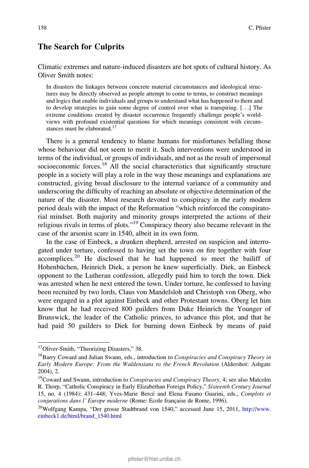### The Search for Culprits

Climatic extremes and nature-induced disasters are hot spots of cultural history. As Oliver Smith notes:

In disasters the linkages between concrete material circumstances and ideological structures may be directly observed as people attempt to come to terms, to construct meanings and logics that enable individuals and groups to understand what has happened to them and to develop strategies to gain some degree of control over what is transpiring. [...] The extreme conditions created by disaster occurrence frequently challenge people's worldviews with profound existential questions for which meanings consistent with circumstances must be elaborated. $17$ 

There is a general tendency to blame humans for misfortunes befalling those whose behaviour did not seem to merit it. Such interventions were understood in terms of the individual, or groups of individuals, and not as the result of impersonal socioeconomic forces.<sup>18</sup> All the social characteristics that significantly structure people in a society will play a role in the way those meanings and explanations are constructed, giving broad disclosure to the internal variance of a community and underscoring the difficulty of reaching an absolute or objective determination of the nature of the disaster. Most research devoted to conspiracy in the early modern period deals with the impact of the Reformation "which reinforced the conspiratorial mindset. Both majority and minority groups interpreted the actions of their religious rivals in terms of plots."<sup>19</sup> Conspiracy theory also became relevant in the case of the arsonist scare in 1540, albeit in its own form.

In the case of Einbeck, a drunken shepherd, arrested on suspicion and interrogated under torture, confessed to having set the town on fire together with four accomplices.<sup>20</sup> He disclosed that he had happened to meet the bailiff of Hohenbüchen, Heinrich Diek, a person he knew superficially. Diek, an Einbeck opponent to the Lutheran confession, allegedly paid him to torch the town. Diek was arrested when he next entered the town. Under torture, he confessed to having been recruited by two lords, Claus von Mandelsloh and Christoph von Oberg, who were engaged in a plot against Einbeck and other Protestant towns. Oberg let him know that he had received 800 guilders from Duke Heinrich the Younger of Brunswick, the leader of the Catholic princes, to advance this plot, and that he had paid 50 guilders to Diek for burning down Einbeck by means of paid

<sup>&</sup>lt;sup>17</sup>Oliver-Smith, "Theorizing Disasters," 38.

 $18$ Barry Coward and Julian Swann, eds., introduction to *Conspiracies and Conspiracy Theory in* Early Modern Europe: From the Waldensians to the French Revolution (Aldershot: Ashgate 2004), 2.

<sup>&</sup>lt;sup>19</sup>Coward and Swann, introduction to Conspiracies and Conspiracy Theory, 4; see also Malcolm R. Thorp, "Catholic Conspiracy in Early Elizabethan Foreign Policy," Sixteenth Century Journal 15, no. 4 (1984): 431-448; Yves-Marie Bercé and Elena Fasano Guarini, eds., Complots et conjurations dans l'Europe moderne (Rome: Ecole française de Rome, 1996).

<sup>&</sup>lt;sup>20</sup>Wolfgang Kampa, "Der grosse Stadtbrand von 1540," accessed June 15, 2011, [http://www.](http://www.einbeck1.de/html/brand_1540.html) [einbeck1.de/html/brand\\_1540.html](http://www.einbeck1.de/html/brand_1540.html)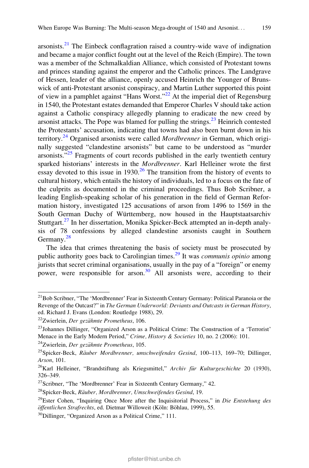arsonists.<sup>21</sup> The Einbeck conflagration raised a country-wide wave of indignation and became a major conflict fought out at the level of the Reich (Empire). The town was a member of the Schmalkaldian Alliance, which consisted of Protestant towns and princes standing against the emperor and the Catholic princes. The Landgrave of Hessen, leader of the alliance, openly accused Heinrich the Younger of Brunswick of anti-Protestant arsonist conspiracy, and Martin Luther supported this point of view in a pamphlet against "Hans Worst."<sup>22</sup> At the imperial diet of Regensburg in 1540, the Protestant estates demanded that Emperor Charles V should take action against a Catholic conspiracy allegedly planning to eradicate the new creed by arsonist attacks. The Pope was blamed for pulling the strings.<sup>23</sup> Heinrich contested the Protestants' accusation, indicating that towns had also been burnt down in his territory.<sup>24</sup> Organised arsonists were called *Mordbrenner* in German, which originally suggested "clandestine arsonists" but came to be understood as "murder arsonists."<sup>25</sup> Fragments of court records published in the early twentieth century sparked historians' interests in the Mordbrenner. Karl Helleiner wrote the first  $\frac{1}{2}$  essay devoted to this issue in 1930.<sup>26</sup> The transition from the history of events to cultural history, which entails the history of individuals, led to a focus on the fate of the culprits as documented in the criminal proceedings. Thus Bob Scribner, a leading English-speaking scholar of his generation in the field of German Reformation history, investigated 125 accusations of arson from 1496 to 1569 in the South German Duchy of Württemberg, now housed in the Hauptstaatsarchiv Stuttgart.<sup>27</sup> In her dissertation, Monika Spicker-Beck attempted an in-depth analysis of 78 confessions by alleged clandestine arsonists caught in Southern Germany.<sup>28</sup>

The idea that crimes threatening the basis of society must be prosecuted by public authority goes back to Carolingian times.<sup>29</sup> It was *communis opinio* among jurists that secret criminal organisations, usually in the pay of a "foreign" or enemy power, were responsible for arson.<sup>30</sup> All arsonists were, according to their

<sup>&</sup>lt;sup>21</sup>Bob Scribner, "The 'Mordbrenner' Fear in Sixteenth Century Germany: Political Paranoia or the Revenge of the Outcast?" in The German Underworld: Deviants and Outcasts in German History, ed. Richard J. Evans (London: Routledge 1988), 29.

 $^{22}$ Zwierlein, Der gezähmte Prometheus, 106.

<sup>&</sup>lt;sup>23</sup>Johannes Dillinger, "Organized Arson as a Political Crime: The Construction of a 'Terrorist' Menace in the Early Modern Period," Crime, History & Societies 10, no. 2 (2006): 101.

 $^{24}$ Zwierlein, Der gezähmte Prometheus, 105.

<sup>&</sup>lt;sup>25</sup>Spicker-Beck, *Räuber Mordbrenner, umschweifendes Gesind*,  $100-113$ ,  $169-70$ ; Dillinger, Arson, 101.

<sup>&</sup>lt;sup>26</sup>Karl Helleiner, "Brandstiftung als Kriegsmittel," Archiv für Kulturgeschichte  $20$  (1930), 326–349.

 $27$ Scribner, "The 'Mordbrenner' Fear in Sixteenth Century Germany," 42.

<sup>&</sup>lt;sup>28</sup>Spicker-Beck, Räuber, Mordbrenner, Umschweifendes Gesind, 19.

<sup>&</sup>lt;sup>29</sup>Ester Cohen, "Inquiring Once More after the Inquisitorial Process," in Die Entstehung des öffentlichen Strafrechts, ed. Dietmar Willoweit (Köln: Böhlau, 1999), 55.

<sup>&</sup>lt;sup>30</sup>Dillinger, "Organized Arson as a Political Crime," 111.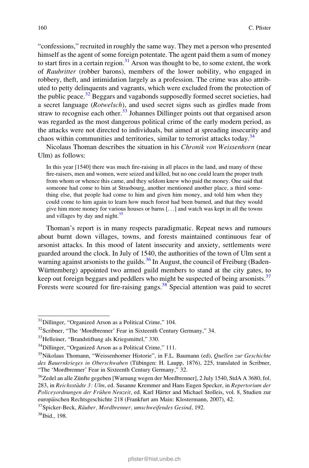"confessions," recruited in roughly the same way. They met a person who presented himself as the agent of some foreign potentate. The agent paid them a sum of money to start fires in a certain region.<sup>31</sup> Arson was thought to be, to some extent, the work of Raubritter (robber barons), members of the lower nobility, who engaged in robbery, theft, and intimidation largely as a profession. The crime was also attributed to petty delinquents and vagrants, which were excluded from the protection of the public peace. $32$  Beggars and vagabonds supposedly formed secret societies, had a secret language (*Rotwelsch*), and used secret signs such as girdles made from straw to recognise each other.<sup>33</sup> Johannes Dillinger points out that organised arson was regarded as the most dangerous political crime of the early modern period, as the attacks were not directed to individuals, but aimed at spreading insecurity and chaos within communities and territories, similar to terrorist attacks today.<sup>34</sup>

Nicolaus Thoman describes the situation in his *Chronik von Weissenhorn* (near Ulm) as follows:

In this year [1540] there was much fire-raising in all places in the land, and many of these fire-raisers, men and women, were seized and killed, but no one could learn the proper truth from whom or whence this came, and they seldom knew who paid the money. One said that someone had come to him at Strasbourg, another mentioned another place, a third something else, that people had come to him and given him money, and told him when they could come to him again to learn how much forest had been burned, and that they would give him more money for various houses or barns [...] and watch was kept in all the towns and villages by day and night.<sup>35</sup>

Thoman's report is in many respects paradigmatic. Repeat news and rumours about burnt down villages, towns, and forests maintained continuous fear of arsonist attacks. In this mood of latent insecurity and anxiety, settlements were guarded around the clock. In July of 1540, the authorities of the town of Ulm sent a warning against arsonists to the guilds.<sup>36</sup> In August, the council of Freiburg (Baden-Württemberg) appointed two armed guild members to stand at the city gates, to keep out foreign beggars and peddlers who might be suspected of being arsonists.<sup>37</sup> Forests were scoured for fire-raising gangs.<sup>38</sup> Special attention was paid to secret

<sup>31</sup>Dillinger, "Organized Arson as a Political Crime," 104.

<sup>&</sup>lt;sup>32</sup>Scribner, "The 'Mordbrenner' Fear in Sixteenth Century Germany," 34.

<sup>33</sup>Helleiner, "Brandstiftung als Kriegsmittel," 330.

<sup>34</sup>Dillinger, "Organized Arson as a Political Crime," 111.

<sup>&</sup>lt;sup>35</sup>Nikolaus Thomann, "Weissenhorner Historie", in F.L. Baumann (ed), Quellen zur Geschichte des Bauernkrieges in Oberschwaben (Tübingen: H. Laupp, 1876), 225, translated in Scribner, "The 'Mordbrenner' Fear in Sixteenth Century Germany," 32.

<sup>&</sup>lt;sup>36</sup>Zedel an alle Zünfte gegeben [Warnung wegen der Mordbrenner], 2 July 1540, StdA A 3680, fol. 283, in Reichsstädte 3: Ulm, ed. Susanne Kremmer and Hans Eugen Specker, in Repertorium der Policeyordnungen der Frühen Neuzeit, ed. Karl Härter and Michael Stolleis, vol. 8, Studien zur europa¨ischen Rechtsgeschichte 218 (Frankfurt am Main: Klostermann, 2007), 42.

 $37$ Spicker-Beck, Räuber, Mordbrenner, umschweifendes Gesind, 192.

<sup>38</sup>Ibid., 198.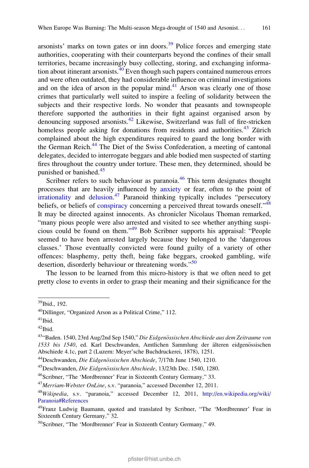arsonists' marks on town gates or inn doors. $39$  Police forces and emerging state authorities, cooperating with their counterparts beyond the confines of their small territories, became increasingly busy collecting, storing, and exchanging information about itinerant arsonists. $40$  Even though such papers contained numerous errors and were often outdated, they had considerable influence on criminal investigations and on the idea of arson in the popular mind.<sup>41</sup> Arson was clearly one of those crimes that particularly well suited to inspire a feeling of solidarity between the subjects and their respective lords. No wonder that peasants and townspeople therefore supported the authorities in their fight against organised arson by denouncing supposed arsonists.<sup>42</sup> Likewise, Switzerland was full of fire-stricken homeless people asking for donations from residents and authorities. $43$  Zürich complained about the high expenditures required to guard the long border with the German Reich.<sup>44</sup> The Diet of the Swiss Confederation, a meeting of cantonal delegates, decided to interrogate beggars and able bodied men suspected of starting fires throughout the country under torture. These men, they determined, should be punished or banished.<sup>45</sup>

Scribner refers to such behaviour as paranoia.<sup>46</sup> This term designates thought processes that are heavily influenced by [anxiety](http://en.wikipedia.org/wiki/Anxiety) or fear, often to the point of [irrationality](http://en.wikipedia.org/wiki/Irrationality) and [delusion](http://en.wikipedia.org/wiki/Delusion).<sup>47</sup> Paranoid thinking typically includes "persecutory beliefs, or beliefs of [conspiracy](http://en.wiktionary.org/wiki/conspiracy) concerning a perceived threat towards oneself."<sup>48</sup> It may be directed against innocents. As chronicler Nicolaus Thoman remarked, "many pious people were also arrested and visited to see whether anything suspicious could be found on them."<sup>49</sup> Bob Scribner supports his appraisal: "People seemed to have been arrested largely because they belonged to the 'dangerous classes.' Those eventually convicted were found guilty of a variety of other offences: blasphemy, petty theft, being fake beggars, crooked gambling, wife desertion, disorderly behaviour or threatening words."<sup>50</sup>

The lesson to be learned from this micro-history is that we often need to get pretty close to events in order to grasp their meaning and their significance for the

<sup>39</sup>Ibid., 192.

<sup>40</sup>Dillinger, "Organized Arson as a Political Crime," 112.

 $41$ Ibid.

 $42$ Ibid.

<sup>43&</sup>quot;Baden. 1540, 23rd Aug/2nd Sep 1540," Die Eidgenössischen Abschiede aus dem Zeitraume von 1533 bis 1540, ed. Karl Deschwanden, Amtlichen Sammlung der älteren eidgenössischen Abschiede 4.1c, part 2 (Luzern: Meyer'sche Buchdruckerei, 1878), 1251.

<sup>44</sup> Deschwanden, Die Eidgenössischen Abschiede, 7/17th June 1540, 1210.

<sup>&</sup>lt;sup>45</sup>Deschwanden, Die Eidgenössischen Abschiede, 13/23th Dec. 1540, 1280.

<sup>&</sup>lt;sup>46</sup>Scribner, "The 'Mordbrenner' Fear in Sixteenth Century Germany," 33.

<sup>&</sup>lt;sup>47</sup>Merriam-Webster OnLine, s.v. "paranoia," accessed December 12, 2011.

<sup>&</sup>lt;sup>48</sup>Wikipedia, s.v. "paranoia," accessed December 12, 2011, [http://en.wikipedia.org/wiki/](http://en.wikipedia.org/wiki/Paranoia#References) [Paranoia#References](http://en.wikipedia.org/wiki/Paranoia#References)

<sup>&</sup>lt;sup>49</sup>Franz Ludwig Baumann, quoted and translated by Scribner, "The 'Mordbrenner' Fear in Sixteenth Century Germany," 32.

<sup>&</sup>lt;sup>50</sup>Scribner, "The 'Mordbrenner' Fear in Sixteenth Century Germany," 49.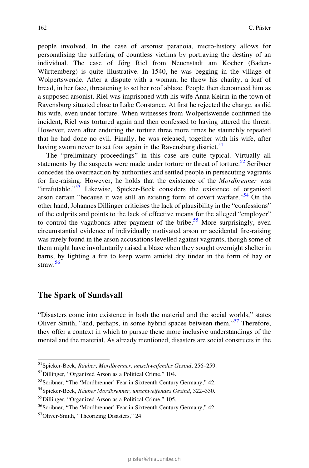people involved. In the case of arsonist paranoia, micro-history allows for personalising the suffering of countless victims by portraying the destiny of an individual. The case of Jörg Riel from Neuenstadt am Kocher (Baden-Württemberg) is quite illustrative. In 1540, he was begging in the village of Wolpertswende. After a dispute with a woman, he threw his charity, a loaf of bread, in her face, threatening to set her roof ablaze. People then denounced him as a supposed arsonist. Riel was imprisoned with his wife Anna Keirin in the town of Ravensburg situated close to Lake Constance. At first he rejected the charge, as did his wife, even under torture. When witnesses from Wolpertswende confirmed the incident, Riel was tortured again and then confessed to having uttered the threat. However, even after enduring the torture three more times he staunchly repeated that he had done no evil. Finally, he was released, together with his wife, after having sworn never to set foot again in the Ravensburg district.<sup>51</sup>

The "preliminary proceedings" in this case are quite typical. Virtually all statements by the suspects were made under torture or threat of torture.<sup>52</sup> Scribner concedes the overreaction by authorities and settled people in persecuting vagrants for fire-raising. However, he holds that the existence of the Mordbrenner was "irrefutable."<sup>53</sup> Likewise, Spicker-Beck considers the existence of organised arson certain "because it was still an existing form of covert warfare."<sup>54</sup> On the other hand, Johannes Dillinger criticises the lack of plausibility in the "confessions" of the culprits and points to the lack of effective means for the alleged "employer" to control the vagabonds after payment of the bribe.<sup>55</sup> More surprisingly, even circumstantial evidence of individually motivated arson or accidental fire-raising was rarely found in the arson accusations levelled against vagrants, though some of them might have involuntarily raised a blaze when they sought overnight shelter in barns, by lighting a fire to keep warm amidst dry tinder in the form of hay or straw.<sup>56</sup>

#### The Spark of Sundsvall

"Disasters come into existence in both the material and the social worlds," states Oliver Smith, "and, perhaps, in some hybrid spaces between them."<sup>57</sup> Therefore, they offer a context in which to pursue these more inclusive understandings of the mental and the material. As already mentioned, disasters are social constructs in the

<sup>51</sup> Spicker-Beck, Räuber, Mordbrenner, umschweifendes Gesind, 256-259.

<sup>52</sup>Dillinger, "Organized Arson as a Political Crime," 104.

<sup>53</sup> Scribner, "The 'Mordbrenner' Fear in Sixteenth Century Germany," 42.

<sup>&</sup>lt;sup>54</sup>Spicker-Beck, Räuber Mordbrenner, umschweifendes Gesind, 322–330.

<sup>55</sup>Dillinger, "Organized Arson as a Political Crime," 105.

<sup>56</sup>Scribner, "The 'Mordbrenner' Fear in Sixteenth Century Germany," 42.

<sup>57</sup>Oliver-Smith, "Theorizing Disasters," 24.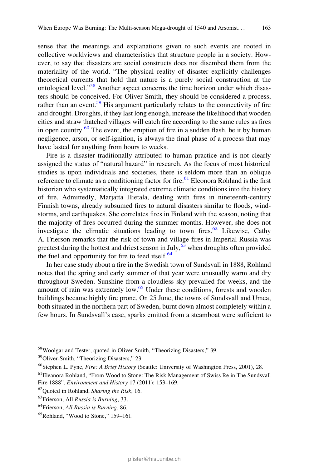sense that the meanings and explanations given to such events are rooted in collective worldviews and characteristics that structure people in a society. However, to say that disasters are social constructs does not disembed them from the materiality of the world. "The physical reality of disaster explicitly challenges theoretical currents that hold that nature is a purely social construction at the ontological level."<sup>58</sup> Another aspect concerns the time horizon under which disasters should be conceived. For Oliver Smith, they should be considered a process, rather than an event.<sup>59</sup> His argument particularly relates to the connectivity of fire and drought. Droughts, if they last long enough, increase the likelihood that wooden cities and straw thatched villages will catch fire according to the same rules as fires in open country.<sup>60</sup> The event, the eruption of fire in a sudden flash, be it by human negligence, arson, or self-ignition, is always the final phase of a process that may have lasted for anything from hours to weeks.

Fire is a disaster traditionally attributed to human practice and is not clearly assigned the status of "natural hazard" in research. As the focus of most historical studies is upon individuals and societies, there is seldom more than an oblique reference to climate as a conditioning factor for fire.<sup>61</sup> Eleonora Rohland is the first historian who systematically integrated extreme climatic conditions into the history of fire. Admittedly, Marjatta Hietala, dealing with fires in nineteenth-century Finnish towns, already subsumed fires to natural disasters similar to floods, windstorms, and earthquakes. She correlates fires in Finland with the season, noting that the majority of fires occurred during the summer months. However, she does not investigate the climatic situations leading to town fires.<sup>62</sup> Likewise, Cathy A. Frierson remarks that the risk of town and village fires in Imperial Russia was greatest during the hottest and driest season in July, $63$  when droughts often provided the fuel and opportunity for fire to feed itself. $64$ 

In her case study about a fire in the Swedish town of Sundsvall in 1888, Rohland notes that the spring and early summer of that year were unusually warm and dry throughout Sweden. Sunshine from a cloudless sky prevailed for weeks, and the amount of rain was extremely low.<sup>65</sup> Under these conditions, forests and wooden buildings became highly fire prone. On 25 June, the towns of Sundsvall and Umea, both situated in the northern part of Sweden, burnt down almost completely within a few hours. In Sundsvall's case, sparks emitted from a steamboat were sufficient to

<sup>58</sup>Woolgar and Tester, quoted in Oliver Smith, "Theorizing Disasters," 39.

<sup>59</sup>Oliver-Smith, "Theorizing Disasters," 23.

 $^{60}$ Stephen L. Pyne, Fire: A Brief History (Seattle: University of Washington Press, 2001), 28.

<sup>&</sup>lt;sup>61</sup>Eleanora Rohland, "From Wood to Stone: The Risk Management of Swiss Re in The Sundsvall Fire 1888", Environment and History 17 (2011): 153–169.

 $62$ Quoted in Rohland, Sharing the Risk, 16.

 $^{63}$ Frierson, All Russia is Burning, 33.

 $64$ Frierson, All Russia is Burning, 86.

<sup>65</sup>Rohland, "Wood to Stone," 159–161.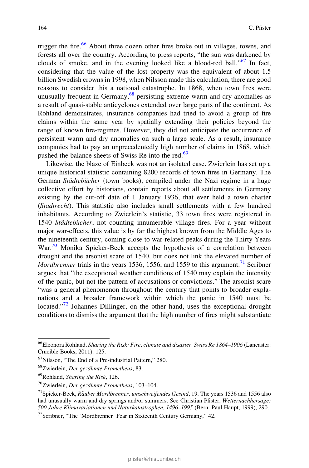trigger the fire.<sup>66</sup> About three dozen other fires broke out in villages, towns, and forests all over the country. According to press reports, "the sun was darkened by clouds of smoke, and in the evening looked like a blood-red ball." $67$  In fact, considering that the value of the lost property was the equivalent of about 1.5 billion Swedish crowns in 1998, when Nilsson made this calculation, there are good reasons to consider this a national catastrophe. In 1868, when town fires were unusually frequent in Germany,<sup>68</sup> persisting extreme warm and dry anomalies as a result of quasi-stable anticyclones extended over large parts of the continent. As Rohland demonstrates, insurance companies had tried to avoid a group of fire claims within the same year by spatially extending their policies beyond the range of known fire-regimes. However, they did not anticipate the occurrence of persistent warm and dry anomalies on such a large scale. As a result, insurance companies had to pay an unprecedentedly high number of claims in 1868, which pushed the balance sheets of Swiss Re into the red.<sup>69</sup>

Likewise, the blaze of Einbeck was not an isolated case. Zwierlein has set up a unique historical statistic containing 8200 records of town fires in Germany. The German *Städtebücher* (town books), compiled under the Nazi regime in a huge collective effort by historians, contain reports about all settlements in Germany existing by the cut-off date of 1 January 1936, that ever held a town charter (Stadtrecht). This statistic also includes small settlements with a few hundred inhabitants. According to Zwierlein's statistic, 33 town fires were registered in 1540 Städtebücher, not counting innumerable village fires. For a year without major war-effects, this value is by far the highest known from the Middle Ages to the nineteenth century, coming close to war-related peaks during the Thirty Years War.<sup>70</sup> Monika Spicker-Beck accepts the hypothesis of a correlation between drought and the arsonist scare of 1540, but does not link the elevated number of *Mordbrenner* trials in the years 1536, 1556, and 1559 to this argument.<sup>71</sup> Scribner argues that "the exceptional weather conditions of 1540 may explain the intensity of the panic, but not the pattern of accusations or convictions." The arsonist scare "was a general phenomenon throughout the century that points to broader explanations and a broader framework within which the panic in 1540 must be located."<sup>72</sup> Johannes Dillinger, on the other hand, uses the exceptional drought conditions to dismiss the argument that the high number of fires might substantiate

 $^{66}$ Eleonora Rohland, Sharing the Risk: Fire, climate and disaster. Swiss Re 1864–1906 (Lancaster: Crucible Books, 2011). 125.

<sup>&</sup>lt;sup>67</sup>Nilsson, "The End of a Pre-industrial Pattern," 280.

 $^{68}$ Zwierlein, Der gezähmte Prometheus, 83.

 $^{69}$ Rohland, *Sharing the Risk*, 126.

 $70$ Zwierlein, Der gezähmte Prometheus, 103-104.

<sup>&</sup>lt;sup>71</sup>Spicker-Beck, Räuber Mordbrenner, umschweifendes Gesind, 19. The years 1536 and 1556 also had unusually warm and dry springs and/or summers. See Christian Pfister, Wetternachhersage: 500 Jahre Klimavariationen und Naturkatastrophen, 1496–1995 (Bern: Paul Haupt, 1999), 290.

 $72$ Scribner, "The 'Mordbrenner' Fear in Sixteenth Century Germany," 42.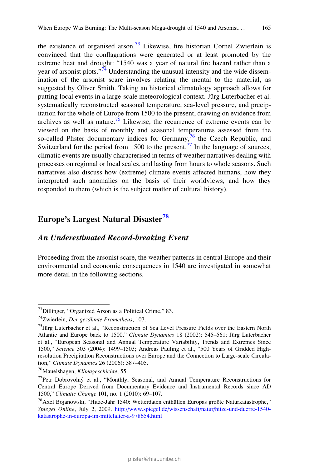the existence of organised arson.<sup>73</sup> Likewise, fire historian Cornel Zwierlein is convinced that the conflagrations were generated or at least promoted by the extreme heat and drought: "1540 was a year of natural fire hazard rather than a year of arsonist plots."<sup>74</sup> Understanding the unusual intensity and the wide dissemination of the arsonist scare involves relating the mental to the material, as suggested by Oliver Smith. Taking an historical climatology approach allows for putting local events in a large-scale meteorological context. Jürg Luterbacher et al. systematically reconstructed seasonal temperature, sea-level pressure, and precipitation for the whole of Europe from 1500 to the present, drawing on evidence from archives as well as nature.<sup>75</sup> Likewise, the recurrence of extreme events can be viewed on the basis of monthly and seasonal temperatures assessed from the so-called Pfister documentary indices for Germany, $76$  the Czech Republic, and Switzerland for the period from 1500 to the present.<sup>77</sup> In the language of sources, climatic events are usually characterised in terms of weather narratives dealing with processes on regional or local scales, and lasting from hours to whole seasons. Such narratives also discuss how (extreme) climate events affected humans, how they interpreted such anomalies on the basis of their worldviews, and how they responded to them (which is the subject matter of cultural history).

## Europe's Largest Natural Disaster<sup>78</sup>

## An Underestimated Record-breaking Event

Proceeding from the arsonist scare, the weather patterns in central Europe and their environmental and economic consequences in 1540 are investigated in somewhat more detail in the following sections.

<sup>73</sup>Dillinger, "Organized Arson as a Political Crime," 83.

 $74$ Zwierlein, Der gezähmte Prometheus, 107.

<sup>&</sup>lt;sup>75</sup>Jürg Luterbacher et al., "Reconstruction of Sea Level Pressure Fields over the Eastern North Atlantic and Europe back to 1500," Climate Dynamics 18 (2002): 545–561; Jürg Luterbacher et al., "European Seasonal and Annual Temperature Variability, Trends and Extremes Since 1500," Science 303 (2004): 1499–1503; Andreas Pauling et al., "500 Years of Gridded Highresolution Precipitation Reconstructions over Europe and the Connection to Large-scale Circulation," Climate Dynamics 26 (2006): 387–405.

<sup>&</sup>lt;sup>76</sup>Mauelshagen, Klimageschichte, 55.

 $77$ Petr Dobrovolný et al., "Monthly, Seasonal, and Annual Temperature Reconstructions for Central Europe Derived from Documentary Evidence and Instrumental Records since AD 1500," Climatic Change 101, no. 1 (2010): 69–107.

<sup>&</sup>lt;sup>78</sup> Axel Bojanowski, "Hitze-Jahr 1540: Wetterdaten enthüllen Europas größte Naturkatastrophe," Spiegel Online, July 2, 2009. [http://www.spiegel.de/wissenschaft/natur/hitze-und-duerre-1540](http://www.spiegel.de/wissenschaft/natur/hitze-und-duerre-1540-katastrophe-in-europa-im-mittelalter-a-978654.html) [katastrophe-in-europa-im-mittelalter-a-978654.html](http://www.spiegel.de/wissenschaft/natur/hitze-und-duerre-1540-katastrophe-in-europa-im-mittelalter-a-978654.html)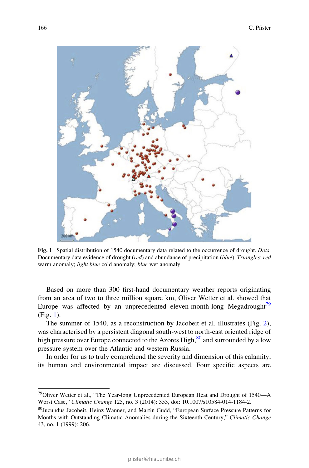

Fig. 1 Spatial distribution of 1540 documentary data related to the occurrence of drought. Dots: Documentary data evidence of drought (red) and abundance of precipitation (blue). Triangles: red warm anomaly; light blue cold anomaly; blue wet anomaly

Based on more than 300 first-hand documentary weather reports originating from an area of two to three million square km, Oliver Wetter et al. showed that Europe was affected by an unprecedented eleven-month-long Megadrought<sup> $\prime$ 9</sup> (Fig. 1).

The summer of 1540, as a reconstruction by Jacobeit et al. illustrates (Fig. 2), was characterised by a persistent diagonal south-west to north-east oriented ridge of high pressure over Europe connected to the Azores High, $\frac{80}{60}$  and surrounded by a low pressure system over the Atlantic and western Russia.

In order for us to truly comprehend the severity and dimension of this calamity, its human and environmental impact are discussed. Four specific aspects are

<sup>79</sup>Oliver Wetter et al., "The Year-long Unprecedented European Heat and Drought of 1540—A Worst Case," Climatic Change 125, no. 3 (2014): 353, doi: 10.1007/s10584-014-1184-2.

<sup>80</sup>Jucundus Jacobeit, Heinz Wanner, and Martin Gudd, "European Surface Pressure Patterns for Months with Outstanding Climatic Anomalies during the Sixteenth Century," Climatic Change 43, no. 1 (1999): 206.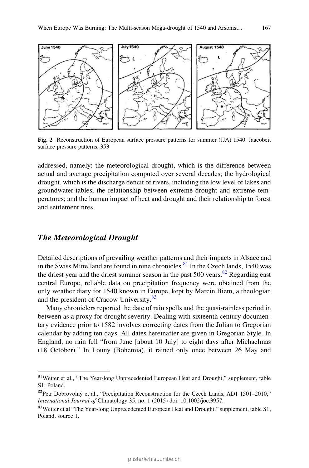

Fig. 2 Reconstruction of European surface pressure patterns for summer (JJA) 1540. Jaacobeit surface pressure patterns, 353

addressed, namely: the meteorological drought, which is the difference between actual and average precipitation computed over several decades; the hydrological drought, which is the discharge deficit of rivers, including the low level of lakes and groundwater-tables; the relationship between extreme drought and extreme temperatures; and the human impact of heat and drought and their relationship to forest and settlement fires.

#### The Meteorological Drought

Detailed descriptions of prevailing weather patterns and their impacts in Alsace and in the Swiss Mittelland are found in nine chronicles. $81$  In the Czech lands, 1540 was the driest year and the driest summer season in the past 500 years.<sup>82</sup> Regarding east central Europe, reliable data on precipitation frequency were obtained from the only weather diary for 1540 known in Europe, kept by Marcin Biem, a theologian and the president of Cracow University.<sup>83</sup>

Many chroniclers reported the date of rain spells and the quasi-rainless period in between as a proxy for drought severity. Dealing with sixteenth century documentary evidence prior to 1582 involves correcting dates from the Julian to Gregorian calendar by adding ten days. All dates hereinafter are given in Gregorian Style. In England, no rain fell "from June [about 10 July] to eight days after Michaelmas (18 October)." In Louny (Bohemia), it rained only once between 26 May and

<sup>81</sup>Wetter et al., "The Year-long Unprecedented European Heat and Drought," supplement, table S1, Poland.

<sup>&</sup>lt;sup>82</sup>Petr Dobrovolný et al., "Precipitation Reconstruction for the Czech Lands, AD1 1501–2010," International Journal of Climatology 35, no. 1 (2015) doi: 10.1002/joc.3957.

<sup>&</sup>lt;sup>83</sup>Wetter et al "The Year-long Unprecedented European Heat and Drought," supplement, table S1, Poland, source 1.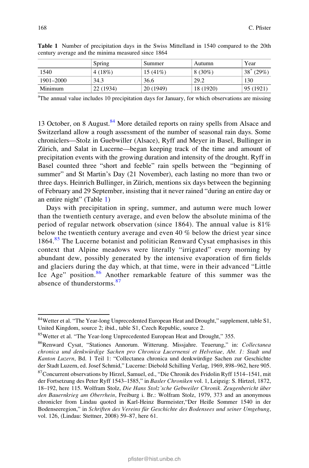|           | Spring    | Summer     | Autumn    | Year                 |
|-----------|-----------|------------|-----------|----------------------|
| 1540      | 4(18%)    | $15(41\%)$ | $8(30\%)$ | $38^{\degree}$ (29%) |
| 1901-2000 | 34.3      | 36.6       | 29.2      | 130                  |
| Minimum   | 22 (1934) | 20(1949)   | 18 (1920) | 95 (1921)            |

Table 1 Number of precipitation days in the Swiss Mittelland in 1540 compared to the 20th century average and the minima measured since 1864

<sup>a</sup>The annual value includes 10 precipitation days for January, for which observations are missing

13 October, on 8 August.<sup>84</sup> More detailed reports on rainy spells from Alsace and Switzerland allow a rough assessment of the number of seasonal rain days. Some chroniclers—Stolz in Guebwiller (Alsace), Ryff and Meyer in Basel, Bullinger in Zürich, and Salat in Lucerne—began keeping track of the time and amount of precipitation events with the growing duration and intensity of the drought. Ryff in Basel counted three "short and feeble" rain spells between the "beginning of summer" and St Martin's Day (21 November), each lasting no more than two or three days. Heinrich Bullinger, in Zürich, mentions six days between the beginning of February and 29 September, insisting that it never rained "during an entire day or an entire night" (Table 1)

Days with precipitation in spring, summer, and autumn were much lower than the twentieth century average, and even below the absolute minima of the period of regular network observation (since 1864). The annual value is 81% below the twentieth century average and even 40 % below the driest year since 1864.<sup>85</sup> The Lucerne botanist and politician Renward Cysat emphasises in this context that Alpine meadows were literally "irrigated" every morning by abundant dew, possibly generated by the intensive evaporation of firn fields and glaciers during the day which, at that time, were in their advanced "Little Ice Age" position.<sup>86</sup> Another remarkable feature of this summer was the absence of thunderstorms.<sup>87</sup>

<sup>&</sup>lt;sup>84</sup>Wetter et al. "The Year-long Unprecedented European Heat and Drought," supplement, table S1, United Kingdom, source 2; ibid., table S1, Czech Republic, source 2.

<sup>&</sup>lt;sup>85</sup>Wetter et al. "The Year-long Unprecedented European Heat and Drought," 355.

<sup>86</sup>Renward Cysat, "Stationes Annorum. Witterung. Missjahre. Teuerung," in: Collectanea chronica und denkwürdige Sachen pro Chronica Lucernensi et Helvetiae, Abt. 1: Stadt und Kanton Luzern, Bd. 1 Teil 1: "Collectanea chronica und denkwürdige Sachen zur Geschichte der Stadt Luzern, ed. Josef Schmid," Lucerne: Diebold Schilling Verlag, 1969, 898–962, here 905.

<sup>87</sup>Concurrent observations by Hirzel, Samuel, ed., "Die Chronik des Fridolin Ryff 1514–1541, mit der Fortsetzung des Peter Ryff 1543–1585," in Basler Chroniken vol. 1, Leipzig: S. Hirtzel, 1872, 18–192, here 115. Wolfram Stolz, Die Hans Stolz'sche Gebweiler Chronik. Zeugenbericht über den Bauernkrieg am Oberrhein, Freiburg i. Br.: Wolfram Stolz, 1979, 373 and an anonymous chronicler from Lindau quoted in Karl-Heinz Burmeister,"Der Heiße Sommer 1540 in der Bodenseeregion," in Schriften des Vereins für Geschichte des Bodensees und seiner Umgebung, vol. 126, (Lindau: Stettner, 2008) 59–87, here 61.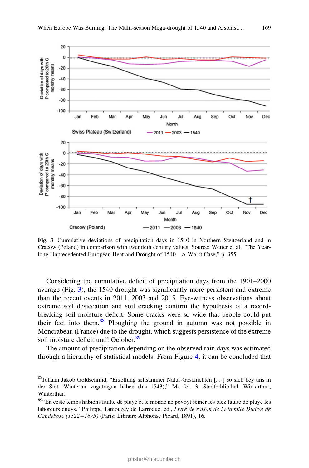

Fig. 3 Cumulative deviations of precipitation days in 1540 in Northern Switzerland and in Cracow (Poland) in comparison with twentieth century values. Source: Wetter et al. "The Yearlong Unprecedented European Heat and Drought of 1540—A Worst Case," p. 355

Considering the cumulative deficit of precipitation days from the 1901–2000 average (Fig. 3), the 1540 drought was significantly more persistent and extreme than the recent events in 2011, 2003 and 2015. Eye-witness observations about extreme soil desiccation and soil cracking confirm the hypothesis of a recordbreaking soil moisture deficit. Some cracks were so wide that people could put their feet into them.<sup>88</sup> Ploughing the ground in autumn was not possible in Moncrabeau (France) due to the drought, which suggests persistence of the extreme soil moisture deficit until October.<sup>89</sup>

The amount of precipitation depending on the observed rain days was estimated through a hierarchy of statistical models. From Figure 4, it can be concluded that

<sup>88</sup>Johann Jakob Goldschmid, "Erzellung seltsammer Natur-Geschichten [...] so sich bey uns in der Statt Wintertur zugetragen haben (bis 1543)," Ms fol. 3, Stadtbibliothek Winterthur, Winterthur.

<sup>&</sup>lt;sup>89</sup>"En ceste temps habions faulte de pluye et le monde ne povoyt semer les blez faulte de pluye les laboreurs enuys." Philippe Tamouzey de Larroque, ed., Livre de raison de la famille Dudrot de Capdebosc (1522 $-1675$ ) (Paris: Libraire Alphonse Picard, 1891), 16.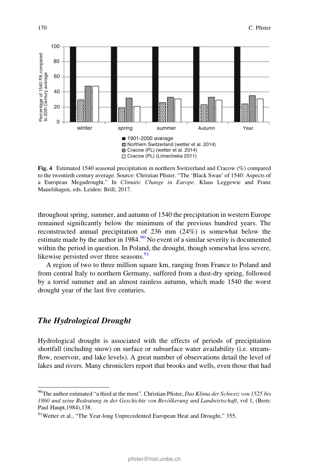

Fig. 4 Estimated 1540 seasonal precipitation in northern Switzerland and Cracow (%) compared to the twentieth century average. Source: Christian Pfister. "The 'Black Swan' of 1540: Aspects of a European Megadrought." In Climatic Change in Europe. Klaus Leggewie and Franz Mauelshagen, eds. Leiden: Brill, 2017.

throughout spring, summer, and autumn of 1540 the precipitation in western Europe remained significantly below the minimum of the previous hundred years. The reconstructed annual precipitation of 236 mm (24%) is somewhat below the estimate made by the author in  $1984.90$  No event of a similar severity is documented within the period in question. In Poland, the drought, though somewhat less severe, likewise persisted over three seasons.<sup>91</sup>

A region of two to three million square km, ranging from France to Poland and from central Italy to northern Germany, suffered from a dust-dry spring, followed by a torrid summer and an almost rainless autumn, which made 1540 the worst drought year of the last five centuries.

#### The Hydrological Drought

Hydrological drought is associated with the effects of periods of precipitation shortfall (including snow) on surface or subsurface water availability (i.e. streamflow, reservoir, and lake levels). A great number of observations detail the level of lakes and rivers. Many chroniclers report that brooks and wells, even those that had

 $90$ <sup>90</sup>The author estimated "a third at the most". Christian Pfister, Das Klima der Schweiz von 1525 bis 1860 und seine Bedeutung in der Geschichte von Bevölkerung und Landwirtschaft, vol 1, (Bern: Paul Haupt,1984),138.

<sup>&</sup>lt;sup>91</sup>Wetter et al., "The Year-long Unprecedented European Heat and Drought," 355.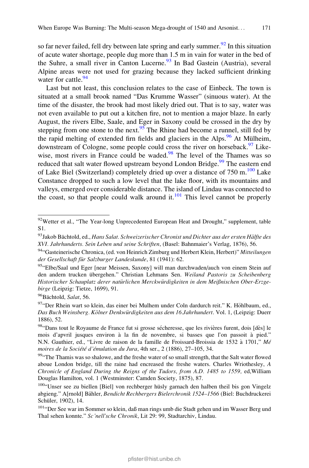so far never failed, fell dry between late spring and early summer.<sup>92</sup> In this situation of acute water shortage, people dug more than 1.5 m in vain for water in the bed of the Suhre, a small river in Canton Lucerne.<sup>93</sup> In Bad Gastein (Austria), several Alpine areas were not used for grazing because they lacked sufficient drinking water for cattle.<sup>94</sup>

Last but not least, this conclusion relates to the case of Einbeck. The town is situated at a small brook named "Das Krumme Wasser" (sinuous water). At the time of the disaster, the brook had most likely dried out. That is to say, water was not even available to put out a kitchen fire, not to mention a major blaze. In early August, the rivers Elbe, Saale, and Eger in Saxony could be crossed in the dry by stepping from one stone to the next.<sup>95</sup> The Rhine had become a runnel, still fed by the rapid melting of extended firn fields and glaciers in the Alps.<sup>96</sup> At Mülheim, downstream of Cologne, some people could cross the river on horseback.<sup>97</sup> Likewise, most rivers in France could be waded.<sup>98</sup> The level of the Thames was so reduced that salt water flowed upstream beyond London Bridge.<sup>99</sup> The eastern end of Lake Biel (Switzerland) completely dried up over a distance of  $750 \text{ m}$ .<sup>100</sup> Lake Constance dropped to such a low level that the lake floor, with its mountains and valleys, emerged over considerable distance. The island of Lindau was connected to the coast, so that people could walk around it. $101$  This level cannot be properly

<sup>96</sup>Bächtold, Salat, 56.

<sup>&</sup>lt;sup>92</sup>Wetter et al., "The Year-long Unprecedented European Heat and Drought," supplement, table S1.

<sup>93</sup> Jakob Bächtold, ed., Hans Salat. Schweizerischer Chronist und Dichter aus der ersten Hälfte des XVI. Jahrhunderts. Sein Leben und seine Schriften, (Basel: Bahnmaier's Verlag, 1876), 56.

<sup>94&</sup>quot;Gasteinerische Chronica, (ed. von Heinrich Zimburg und Herbert Klein, Herbert)" Mitteilungen der Gesellschaft für Salzburger Landeskunde, 81 (1941): 62.

<sup>95&</sup>quot;Elbe/Saal und Eger [near Meissen, Saxony] will man durchwaden/auch von einem Stein auf den andern trucken übergehen." Christian Lehmans Sen. Weiland Pastoris zu Scheibenberg Historischer Schauplatz derer natürlichen Merckwürdigkeiten in dem Meißnischen Ober-Erzgebirge (Leipzig: Tietze, 1699), 91.

<sup>97&</sup>quot;Der Rhein wart so klein, das einer bei Mulhem under Coln dardurch reit." K. Höhlbaum, ed., Das Buch Weinsberg. Kölner Denkwürdigkeiten aus dem 16.Jahrhundert. Vol. 1, (Leipzig: Duerr 1886), 52.

<sup>98&</sup>quot; Dans tout le Royaume de France fut si grosse sécheresse, que les rivières furent, dois [dès] le mois d'apvril jusques environ à la fin de novembre, si basses que l'on passoit à pied." N.N. Gauthier, ed., "Livre de raison de la famille de Froissard-Broissia de 1532 à 1701," Mé moires de la Société d'émulation du Jura, 4th ser., 2 (1886), 27-105, 34.

<sup>99.</sup> The Thamis was so shalowe, and the freshe water of so small strength, that the Salt water flowed aboue London bridge, till the raine had encreased the freshe waters. Charles Wriothesley, A Chronicle of England During the Reigns of the Tudors, from A.D. 1485 to 1559, ed,William Douglas Hamilton, vol. 1 (Westminster: Camden Society, 1875), 87.

<sup>&</sup>lt;sup>100</sup>"Unser see zu biellen [Biel] von rechberger hüsly garnach den halben theil bis gon Vingelz abgieng." A[rnold] Bähler, Bendicht Rechbergers Bielerchronik 1524-1566 (Biel: Buchdruckerei Schüler, 1902), 14.

<sup>101&</sup>quot;Der See war im Sommer so klein, daß man rings umb die Stadt gehen und im Wasser Berg und Thal sehen konnte." Sc'nell'sche Chronik, Lit 29: 99, Stadtarchiv, Lindau.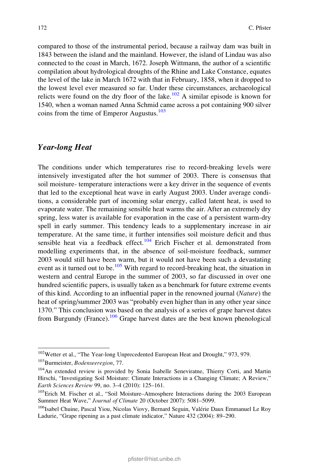compared to those of the instrumental period, because a railway dam was built in 1843 between the island and the mainland. However, the island of Lindau was also connected to the coast in March, 1672. Joseph Wittmann, the author of a scientific compilation about hydrological droughts of the Rhine and Lake Constance, equates the level of the lake in March 1672 with that in February, 1858, when it dropped to the lowest level ever measured so far. Under these circumstances, archaeological relicts were found on the dry floor of the lake.<sup>102</sup> A similar episode is known for 1540, when a woman named Anna Schmid came across a pot containing 900 silver coins from the time of Emperor Augustus.<sup>103</sup>

#### Year-long Heat

The conditions under which temperatures rise to record-breaking levels were intensively investigated after the hot summer of 2003. There is consensus that soil moisture- temperature interactions were a key driver in the sequence of events that led to the exceptional heat wave in early August 2003. Under average conditions, a considerable part of incoming solar energy, called latent heat, is used to evaporate water. The remaining sensible heat warms the air. After an extremely dry spring, less water is available for evaporation in the case of a persistent warm-dry spell in early summer. This tendency leads to a supplementary increase in air temperature. At the same time, it further intensifies soil moisture deficit and thus sensible heat via a feedback effect.<sup>104</sup> Erich Fischer et al. demonstrated from modelling experiments that, in the absence of soil-moisture feedback, summer 2003 would still have been warm, but it would not have been such a devastating event as it turned out to be.<sup>105</sup> With regard to record-breaking heat, the situation in western and central Europe in the summer of 2003, so far discussed in over one hundred scientific papers, is usually taken as a benchmark for future extreme events of this kind. According to an influential paper in the renowned journal (Nature) the heat of spring/summer 2003 was "probably even higher than in any other year since 1370." This conclusion was based on the analysis of a series of grape harvest dates from Burgundy (France).<sup>106</sup> Grape harvest dates are the best known phenological

<sup>&</sup>lt;sup>102</sup>Wetter et al., "The Year-long Unprecedented European Heat and Drought," 973, 979.

<sup>&</sup>lt;sup>103</sup>Burmeister, Bodenseeregion, 77.

<sup>&</sup>lt;sup>104</sup>An extended review is provided by Sonia Isabelle Seneviratne, Thierry Corti, and Martin Hirschi, "Investigating Soil Moisture: Climate Interactions in a Changing Climate; A Review," Earth Sciences Review 99, no. 3–4 (2010): 125–161.

<sup>&</sup>lt;sup>105</sup>Erich M. Fischer et al., "Soil Moisture–Atmosphere Interactions during the 2003 European Summer Heat Wave," Journal of Climate 20 (October 2007): 5081–5099.

<sup>&</sup>lt;sup>106</sup>Isabel Chuine, Pascal Yiou, Nicolas Viovy, Bernard Seguin, Valérie Daux Emmanuel Le Roy Ladurie, "Grape ripening as a past climate indicator," Nature 432 (2004): 89–290.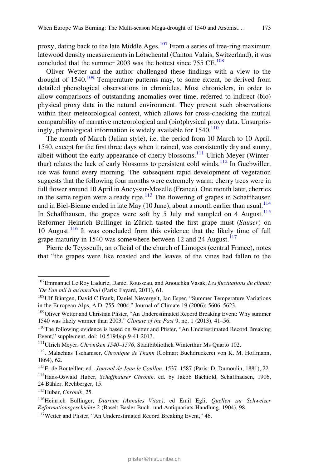proxy, dating back to the late Middle Ages. $107$  From a series of tree-ring maximum latewood density measurements in Lötschental (Canton Valais, Switzerland), it was concluded that the summer 2003 was the hottest since  $755 \text{ CE}$ .  $^{108}$ 

Oliver Wetter and the author challenged these findings with a view to the drought of  $1540$ .<sup>109</sup> Temperature patterns may, to some extent, be derived from detailed phenological observations in chronicles. Most chroniclers, in order to allow comparisons of outstanding anomalies over time, referred to indirect (bio) physical proxy data in the natural environment. They present such observations within their meteorological context, which allows for cross-checking the mutual comparability of narrative meteorological and (bio)physical proxy data. Unsurprisingly, phenological information is widely available for  $1540^{110}$ 

The month of March (Julian style), i.e. the period from 10 March to 10 April, 1540, except for the first three days when it rained, was consistently dry and sunny, albeit without the early appearance of cherry blossoms.<sup>111</sup> Ulrich Meyer (Winterthur) relates the lack of early blossoms to persistent cold winds.<sup>112</sup> In Guebwiller, ice was found every morning. The subsequent rapid development of vegetation suggests that the following four months were extremely warm: cherry trees were in full flower around 10 April in Ancy-sur-Moselle (France). One month later, cherries in the same region were already ripe.<sup>113</sup> The flowering of grapes in Schaffhausen and in Biel-Bienne ended in late May (10 June), about a month earlier than usual.<sup>114</sup> In Schaffhausen, the grapes were soft by 5 July and sampled on 4 August.<sup>115</sup> Reformer Heinrich Bullinger in Zürich tasted the first grape must (Sauser) on 10 August.<sup>116</sup> It was concluded from this evidence that the likely time of full grape maturity in 1540 was somewhere between 12 and 24 August.<sup>117</sup>

Pierre de Teysseulh, an official of the church of Limoges (central France), notes that "the grapes were like roasted and the leaves of the vines had fallen to the

 $107$ Emmanuel Le Roy Ladurie, Daniel Rousseau, and Anouchka Vasak, Les fluctuations du climat: 'De l'an mil à au'ourd'hui (Paris: Fayard, 2011), 61.

<sup>&</sup>lt;sup>108</sup>Ulf Büntgen, David C Frank, Daniel Nievergelt, Jan Esper, "Summer Temperature Variations in the European Alps, A.D. 755–2004," Journal of Climate 19 (2006): 5606–5623.

<sup>&</sup>lt;sup>109</sup>Oliver Wetter and Christian Pfister, "An Underestimated Record Breaking Event: Why summer 1540 was likely warmer than 2003," Climate of the Past 9, no. 1 (2013), 41–56.

<sup>&</sup>lt;sup>110</sup>The following evidence is based on Wetter and Pfister, "An Underestimated Record Breaking Event," supplement, doi: 10.5194/cp-9-41-2013.

<sup>&</sup>lt;sup>111</sup>Ulrich Meyer, Chroniken 1540–1576, Stadtbibliothek Winterthur Ms Quarto 102.

<sup>&</sup>lt;sup>112</sup>. Malachias Tschamser, Chronique de Thann (Colmar; Buchdruckerei von K. M. Hoffmann, 1864), 62.

<sup>&</sup>lt;sup>113</sup>E. de Bouteiller, ed., Journal de Jean le Coullon, 1537-1587 (Paris: D. Dumoulin, 1881), 22.

<sup>&</sup>lt;sup>114</sup>Hans-Oswald Huber, Schaffhauser Chronik. ed. by Jakob Bächtold, Schaffhausen, 1906, 24 Bähler, Rechberger, 15.

<sup>&</sup>lt;sup>115</sup>Huber, Chronik, 25.

<sup>116</sup>Heinrich Bullinger, Diarium (Annales Vitae), ed Emil Egli, Quellen zur Schweizer Reformationsgeschichte 2 (Basel: Basler Buch- und Antiquariats-Handlung, 1904), 98.

<sup>&</sup>lt;sup>117</sup>Wetter and Pfister, "An Underestimated Record Breaking Event," 46.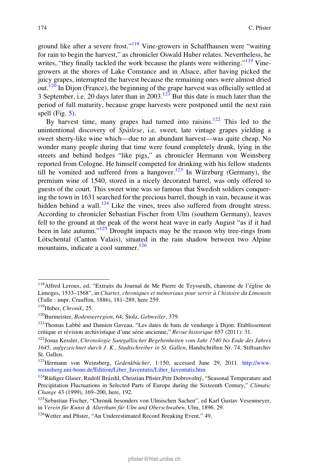ground like after a severe frost."<sup>118</sup> Vine-growers in Schaffhausen were "waiting for rain to begin the harvest," as chronicler Oswald Huber relates. Nevertheless, he writes, "they finally tackled the work because the plants were withering."<sup>119</sup> Vinegrowers at the shores of Lake Constance and in Alsace, after having picked the juicy grapes, interrupted the harvest because the remaining ones were almost dried out.<sup>120</sup> In Dijon (France), the beginning of the grape harvest was officially settled at 3 September, i.e. 20 days later than in 2003.<sup>121</sup> But this date is much later than the period of full maturity, because grape harvests were postponed until the next rain spell (Fig. 5).

By harvest time, many grapes had turned into raisins.<sup>122</sup> This led to the unintentional discovery of Spätlese, i.e. sweet, late vintage grapes yielding a sweet sherry-like wine which—due to an abundant harvest—was quite cheap. No wonder many people during that time were found completely drunk, lying in the streets and behind hedges "like pigs," as chronicler Hermann von Weinsberg reported from Cologne. He himself competed for drinking with his fellow students till he vomited and suffered from a hangover.<sup>123</sup> In Würzburg (Germany), the premium wine of 1540, stored in a nicely decorated barrel, was only offered to guests of the court. This sweet wine was so famous that Swedish soldiers conquering the town in 1631 searched for the precious barrel, though in vain, because it was hidden behind a wall.<sup>124</sup> Like the vines, trees also suffered from drought stress. According to chronicler Sebastian Fischer from Ulm (southern Germany), leaves fell to the ground at the peak of the worst heat wave in early August "as if it had been in late autumn." $125$  Drought impacts may be the reason why tree-rings from Lötschental (Canton Valais), situated in the rain shadow between two Alpine mountains, indicate a cool summer.<sup>126</sup>

<sup>&</sup>lt;sup>118</sup> Alfred Leroux, ed, "Extraits du Journal de Me Pierre de Teysseulh, chanoine de l'église de Limoges, 1533–1568", in Chartes, chroniques et mémoriaux pour servir à l'histoire du Limousin (Tulle : impr. Crauffon, 1886), 181–289, here 259.

<sup>&</sup>lt;sup>119</sup>Huber, Chronik, 25.

<sup>&</sup>lt;sup>120</sup>Burmeister, Bodenseeregion, 64; Stolz, Gebweiler, 379.

<sup>&</sup>lt;sup>121</sup>Thomas Labbé and Damien Gaveau, "Les dates de bans de vendange à Dijon: Etablissement critique et révision archivistique d'une série ancienne," Revue historique 657 (2011): 31.

<sup>&</sup>lt;sup>122</sup> Josua Kessler, Chronologie Santgallischer Begebenheiten vom Jahr 1540 bis Ende des Jahres 1645, aufgezeichnet durch J. K., Stadtschreiber in St. Gallen, Handschriften Nr. 74, Stiftsarchiv St. Gallen.

<sup>&</sup>lt;sup>123</sup>Hermann von Weinsberg, Gedenkbücher, 1:150, accessed June 29, 2011. [http://www.](http://www.weinsberg.uni-bonn.de/Edition/Liber_Iuventutis/Liber_Iuventutis.htm) [weinsberg.uni-bonn.de/Edition/Liber\\_Iuventutis/Liber\\_Iuventutis.htm](http://www.weinsberg.uni-bonn.de/Edition/Liber_Iuventutis/Liber_Iuventutis.htm)

<sup>&</sup>lt;sup>124</sup>Rüdiger Glaser, Rudolf Brázdil, Christian Pfister, Petr Dobrovolný, "Seasonal Temperature and Precipitation Fluctuations in Selected Parts of Europe during the Sixteenth Century," Climatic Change 43 (1999), 169–200, here, 192.

<sup>&</sup>lt;sup>125</sup>Sebastian Fischer, "Chronik besonders von Ulmischen Sachen", ed Karl Gustav Vesenmeyer, in Verein für Kunst & Alterthum für Ulm und Oberschwaben, Ulm, 1896. 29.

<sup>&</sup>lt;sup>126</sup>Wetter and Pfister, "An Underestimated Record Breaking Event," 49.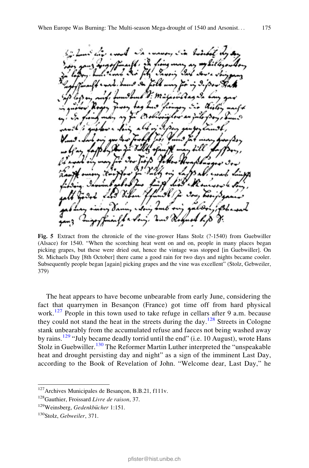Fig. 5 Extract from the chronicle of the vine-grower Hans Stolz (?-1540) from Guebwiller (Alsace) for 1540. "When the scorching heat went on and on, people in many places began picking grapes, but these were dried out, hence the vintage was stopped [in Guebwiller]. On St. Michaels Day [8th October] there came a good rain for two days and nights became cooler. Subsequently people began [again] picking grapes and the vine was excellent" (Stolz, Gebweiler, 379)

The heat appears to have become unbearable from early June, considering the fact that quarrymen in Besançon (France) got time off from hard physical work.<sup>127</sup> People in this town used to take refuge in cellars after 9 a.m. because they could not stand the heat in the streets during the day.<sup>128</sup> Streets in Cologne stank unbearably from the accumulated refuse and faeces not being washed away by rains.<sup>129</sup> "July became deadly torrid until the end" (i.e. 10 August), wrote Hans Stolz in Guebwiller.<sup>130</sup> The Reformer Martin Luther interpreted the "unspeakable" heat and drought persisting day and night" as a sign of the imminent Last Day, according to the Book of Revelation of John. "Welcome dear, Last Day," he

 $127$  Archives Municipales de Besançon, B.B.21, f111v.

 $128$ Gauthier, Froissard Livre de raison, 37.

 $129$ Weinsberg, Gedenkbücher 1:151.

<sup>&</sup>lt;sup>130</sup>Stolz, Gebweiler, 371.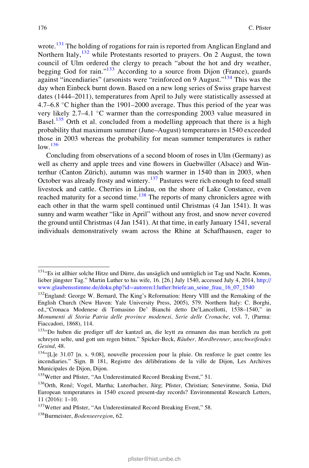wrote.<sup>131</sup> The holding of rogations for rain is reported from Anglican England and Northern Italy, $132$  while Protestants resorted to prayers. On 2 August, the town council of Ulm ordered the clergy to preach "about the hot and dry weather, begging God for rain."<sup>133</sup> According to a source from Dijon (France), guards against "incendiaries" (arsonists were "reinforced on 9 August."<sup>134</sup> This was the day when Einbeck burnt down. Based on a new long series of Swiss grape harvest dates (1444–2011), temperatures from April to July were statistically assessed at 4.7–6.8  $\degree$ C higher than the 1901–2000 average. Thus this period of the year was very likely  $2.7-4.1$  °C warmer than the corresponding 2003 value measured in Basel.<sup>135</sup> Orth et al. concluded from a modelling approach that there is a high probability that maximum summer (June–August) temperatures in 1540 exceeded those in 2003 whereas the probability for mean summer temperatures is rather  $low$ <sup>136</sup>

Concluding from observations of a second bloom of roses in Ulm (Germany) as well as cherry and apple trees and vine flowers in Guebwiller (Alsace) and Winterthur (Canton Zürich), autumn was much warmer in 1540 than in 2003, when October was already frosty and wintery.<sup>137</sup> Pastures were rich enough to feed small livestock and cattle. Cherries in Lindau, on the shore of Lake Constance, even reached maturity for a second time.<sup>138</sup> The reports of many chroniclers agree with each other in that the warm spell continued until Christmas (4 Jan 1541). It was sunny and warm weather "like in April" without any frost, and snow never covered the ground until Christmas (4 Jan 1541). At that time, in early January 1541, several individuals demonstratively swam across the Rhine at Schaffhausen, eager to

<sup>131&</sup>quot;Es ist allhier solche Hitze und Dürre, das unsäglich und untrüglich ist Tag und Nacht. Komm, lieber jüngster Tag." Martin Luther to his wife, 16. [26.] July 1540, accessed July 4, 2014, [http://](http://www.glaubensstimme.de/doku.php?id=autoren:l:luther:briefe:an_seine_frau_16_07_1540)<br>www.glaubensstimme.de/doku.php?id=autoren:l:luther:briefe:an\_seine\_frau\_16\_07\_1540

<sup>&</sup>lt;sup>132</sup>England: George W. Bernard, The King's Reformation: Henry VIII and the Remaking of the English Church (New Haven: Yale University Press, 2005), 579. Northern Italy: C. Borghi, ed.,"Cronaca Modenese di Tomasino De' Bianchi detto De'Lancellotti, 1538–1540," in Monumenti di Storia Patria delle province modenesi, Serie delle Cronache, vol. 7, (Parma: Fiaccadori, 1868), 114.

<sup>&</sup>lt;sup>133</sup>"Do huben die prediger uff der kantzel an, die leytt zu ermanen das man herzlich zu gott schreyen selte, und gott um regen bitten." Spicker-Beck, Räuber, Mordbrenner, unschweifendes Gesind, 48.

<sup>&</sup>lt;sup>134</sup>"[L]e 31.07 [n. s. 9.08], nouvelle procession pour la pluie. On renforce le guet contre les incendiaries." Sign. B 181, Registre des délibérations de la ville de Dijon, Les Archives Municipales de Dijon, Dijon.

<sup>&</sup>lt;sup>135</sup>Wetter and Pfister, "An Underestimated Record Breaking Event," 51.

<sup>&</sup>lt;sup>136</sup>Orth, René; Vogel, Martha; Luterbacher, Jürg; Pfister, Christian; Seneviratne, Sonia, Did European temperatures in 1540 exceed present-day records? Environmental Research Letters, 11 (2016): 1–10.

<sup>&</sup>lt;sup>137</sup>Wetter and Pfister, "An Underestimated Record Breaking Event," 58.

<sup>&</sup>lt;sup>138</sup>Burmeister, Bodenseeregion, 62.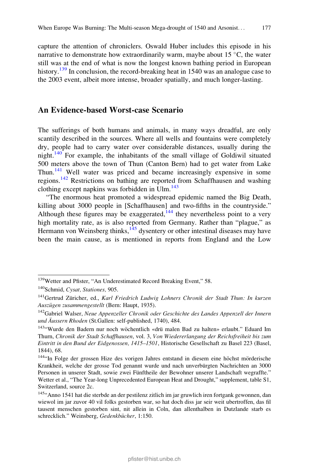capture the attention of chroniclers. Oswald Huber includes this episode in his narrative to demonstrate how extraordinarily warm, maybe about 15  $\degree$ C, the water still was at the end of what is now the longest known bathing period in European history.<sup>139</sup> In conclusion, the record-breaking heat in 1540 was an analogue case to the 2003 event, albeit more intense, broader spatially, and much longer-lasting.

## An Evidence-based Worst-case Scenario

The sufferings of both humans and animals, in many ways dreadful, are only scantily described in the sources. Where all wells and fountains were completely dry, people had to carry water over considerable distances, usually during the night.<sup>140</sup> For example, the inhabitants of the small village of Goldiwil situated 500 meters above the town of Thun (Canton Bern) had to get water from Lake Thun.<sup>141</sup> Well water was priced and became increasingly expensive in some regions.<sup>142</sup> Restrictions on bathing are reported from Schaffhausen and washing clothing except napkins was forbidden in Ulm. $143$ 

"The enormous heat promoted a widespread epidemic named the Big Death, killing about 3000 people in [Schaffhausen] and two-fifths in the countryside." Although these figures may be exaggerated, $144$  they nevertheless point to a very high mortality rate, as is also reported from Germany. Rather than "plague," as Hermann von Weinsberg thinks, $145$  dysentery or other intestinal diseases may have been the main cause, as is mentioned in reports from England and the Low

<sup>&</sup>lt;sup>139</sup>Wetter and Pfister, "An Underestimated Record Breaking Event," 58.

<sup>140</sup> Schmid, Cysat, Stationes, 905.

<sup>&</sup>lt;sup>141</sup>Gertrud Züricher, ed., Karl Friedrich Ludwig Lohners Chronik der Stadt Thun: In kurzen Auszügen zusammengestellt (Bern: Haupt, 1935).

<sup>&</sup>lt;sup>142</sup>Gabriel Walser, Neue Appenzeller Chronik oder Geschichte des Landes Appenzell der Innern und Äussern Rhoden (St.Gallen: self-published, 1740), 484.

<sup>&</sup>lt;sup>143</sup>"Wurde den Badern nur noch wöchentlich «drü malen Bad zu halten» erlaubt." Eduard Im Thurn, Chronik der Stadt Schaffhausen, vol. 3, Von Wiedererlangung der Reichsfreiheit bis zum Eintritt in den Bund der Eidgenossen, 1415–1501, Historische Gesellschaft zu Basel 223 (Basel, 1844), 68.

<sup>&</sup>lt;sup>144</sup>"In Folge der grossen Hize des vorigen Jahres entstand in diesem eine höchst mörderische Krankheit, welche der grosse Tod genannt wurde und nach unverbürgten Nachrichten an 3000 Personen in unserer Stadt, sowie zwei Fünftheile der Bewohner unserer Landschaft wegraffte." Wetter et al., "The Year-long Unprecedented European Heat and Drought," supplement, table S1, Switzerland, source 2c.

<sup>&</sup>lt;sup>145</sup>"Anno 1541 hat die sterbde an der pestilenz zitlich im jar gruwlich iren fortgank gewonnen, dan wiewol im jar zuvor 40 vil folks gestorben war, so hat doch diss jar seir weit ubertroffen, das fil tausent menschen gestorben sint, nit allein in Coln, dan allenthalben in Dutzlande starb es schrecklich." Weinsberg, Gedenkbücher, 1:150.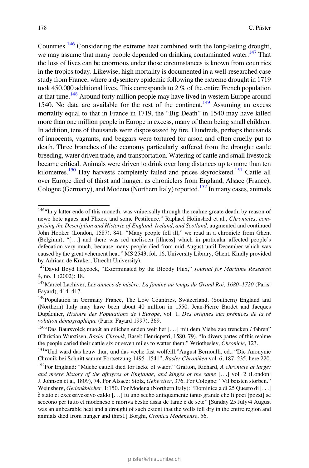Countries.<sup>146</sup> Considering the extreme heat combined with the long-lasting drought, we may assume that many people depended on drinking contaminated water.<sup>147</sup> That the loss of lives can be enormous under those circumstances is known from countries in the tropics today. Likewise, high mortality is documented in a well-researched case study from France, where a dysentery epidemic following the extreme drought in 1719 took 450,000 additional lives. This corresponds to 2 % of the entire French population at that time.<sup>148</sup> Around forty million people may have lived in western Europe around 1540. No data are available for the rest of the continent.<sup>149</sup> Assuming an excess mortality equal to that in France in 1719, the "Big Death" in 1540 may have killed more than one million people in Europe in excess, many of them being small children. In addition, tens of thousands were dispossessed by fire. Hundreds, perhaps thousands of innocents, vagrants, and beggars were tortured for arson and often cruelly put to death. Three branches of the economy particularly suffered from the drought: cattle breeding, water driven trade, and transportation. Watering of cattle and small livestock became critical. Animals were driven to drink over long distances up to more than ten kilometres.<sup>150</sup> Hay harvests completely failed and prices skyrocketed.<sup>151</sup> Cattle all over Europe died of thirst and hunger, as chroniclers from England, Alsace (France), Cologne (Germany), and Modena (Northern Italy) reported.<sup>152</sup> In many cases, animals

<sup>&</sup>lt;sup>146"</sup>In y latter ende of this moneth, was vniuersally through the realme greate death, by reason of newe hote agues and Flixes, and some Pestilence." Raphael Holinshed et al., Chronicles, comprising the Description and Historie of England, Ireland, and Scotland, augmented and continued John Hooker (London, 1587), 841. "Many people fell ill," we read in a chronicle from Ghent (Belgium), "[...] and there was red melisoen [illness] which in particular affected people's defecation very much, because many people died from mid-August until December which was caused by the great vehement heat." MS 2543, fol. 16, University Library, Ghent. Kindly provided by Adriaan de Kraker, Utrecht University).

 $147$ David Boyd Haycock, "Exterminated by the Bloody Flux," Journal for Maritime Research 4, no. 1 (2002): 18.

 $148$ Marcel Lachiver, Les années de misère: La famine au temps du Grand Roi, 1680-1720 (Paris: Fayard), 414–417.

<sup>&</sup>lt;sup>149</sup>Population in Germany France, The Low Countries, Switzerland, (Southern) England and (Northern) Italy may have been about 40 million in 1550. Jean-Pierre Bardet and Jacques Dupâquier, Histoire des Populations de l'Europe, vol. 1. Des origines aux prémices de la ré volution démographique (Paris: Fayard 1997), 369.

<sup>&</sup>lt;sup>150</sup>"Das Baursvolck muoßt an etlichen enden weit her [...] mit dem Viehe zuo trencken / fahren" (Christian Wurstisen, Basler Chronik, Basel: Henricpetri, 1580, 79). "In divers partes of this realme the people caried their cattle six or seven miles to watter them." Wriothesley, Chronicle, 123.

<sup>&</sup>lt;sup>151</sup>"Und ward das heuw thur, und das veche fast wolfeill."August Bernoulli, ed., "Die Anonyme Chronik bei Schnitt sammt Fortsetzung 1495–1541", Basler Chroniken vol. 6, 187–235, here 220.

<sup>&</sup>lt;sup>152</sup>For England: "Muche cattell died for lacke of water." Grafton, Richard, A chronicle at large: and meere history of the affayres of Englande, and kinges of the same [...] vol. 2 (London:

J. Johnson et al, 1809), 74. For Alsace: Stolz, Gebweiler, 376. For Cologne: "Vil beisten storben." Weinsberg, Gedenkbücher, 1:150. For Modena (Northern Italy): "Dominica a di 25 Questo dì [...] e` stato et excessivessivo caldo [...] fu uno secho antiquamente tanto grande che li poci [pozzi] se seccono per tutto el modeneso e moriva bestie assai de fame e de sete" [Sunday 25 July/4 August was an unbearable heat and a drought of such extent that the wells fell dry in the entire region and animals died from hunger and thirst.] Borghi, Cronica Modenense, 56.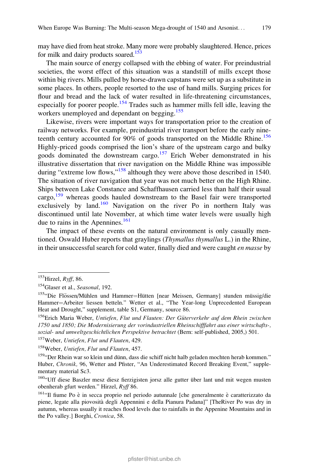may have died from heat stroke. Many more were probably slaughtered. Hence, prices for milk and dairy products soared.<sup>153</sup>

The main source of energy collapsed with the ebbing of water. For preindustrial societies, the worst effect of this situation was a standstill of mills except those within big rivers. Mills pulled by horse-drawn capstans were set up as a substitute in some places. In others, people resorted to the use of hand mills. Surging prices for flour and bread and the lack of water resulted in life-threatening circumstances, especially for poorer people.<sup>154</sup> Trades such as hammer mills fell idle, leaving the workers unemployed and dependant on begging.<sup>155</sup>

Likewise, rivers were important ways for transportation prior to the creation of railway networks. For example, preindustrial river transport before the early nineteenth century accounted for 90% of goods transported on the Middle Rhine.<sup>156</sup> Highly-priced goods comprised the lion's share of the upstream cargo and bulky goods dominated the downstream cargo.<sup>157</sup> Erich Weber demonstrated in his illustrative dissertation that river navigation on the Middle Rhine was impossible during "extreme low flows,"<sup>158</sup> although they were above those described in 1540. The situation of river navigation that year was not much better on the High Rhine. Ships between Lake Constance and Schaffhausen carried less than half their usual cargo,<sup>159</sup> whereas goods hauled downstream to the Basel fair were transported exclusively by land.<sup>160</sup> Navigation on the river Po in northern Italy was discontinued until late November, at which time water levels were usually high due to rains in the Apennines. $161$ 

The impact of these events on the natural environment is only casually mentioned. Oswald Huber reports that graylings (Thymallus thymallus L.) in the Rhine, in their unsuccessful search for cold water, finally died and were caught en masse by

 $153$ Hirzel, Ryff, 86.

<sup>&</sup>lt;sup>154</sup>Glaser et al., Seasonal, 192.

<sup>&</sup>lt;sup>155</sup>"Die Flössen/Mühlen und Hammer=Hütten [near Meissen, Germany] stunden müssig/die Hammer=Arbeiter liessen betteln." Wetter et al., "The Year-long Unprecedented European Heat and Drought," supplement, table S1, Germany, source 86.

<sup>&</sup>lt;sup>156</sup>Erich Maria Weber, Untiefen, Flut und Flauten: Der Güterverkehr auf dem Rhein zwischen 1750 und 1850; Die Modernisierung der vorindustriellen Rheinschifffahrt aus einer wirtschafts-, sozial- und umweltgeschichtlichen Perspektive betrachtet (Bern: self-published, 2005,) 501.

<sup>&</sup>lt;sup>157</sup>Weber, Untiefen, Flut und Flauten, 429.

<sup>&</sup>lt;sup>158</sup>Weber, Untiefen, Flut und Flauten, 457.

<sup>&</sup>lt;sup>159</sup>"Der Rhein war so klein und dünn, dass die schiff nicht halb geladen mochten herab kommen." Huber, Chronik, 96, Wetter and Pfister, "An Underestimated Record Breaking Event," supplementary material Sc3.

<sup>&</sup>lt;sup>160</sup>"Uff diese Baszler mesz diesz fierzigisten jorsz alle gutter über lant und mit wegen musten obenherab gfurt werden." Hirzel, Ryff 86.

<sup>&</sup>lt;sup>161</sup>"Il fiume Po è in secca proprio nel periodo autunnale [che generalmente è caratterizzato da piene, legate alla piovosità degli Appennini e della Pianura Padana]" [TheRiver Po was dry in autumn, whereas usually it reaches flood levels due to rainfalls in the Appenine Mountains and in the Po valley.] Borghi, Cronica, 58.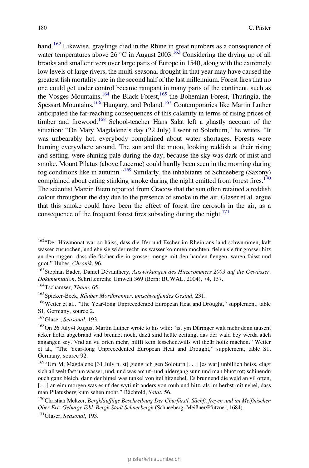hand.<sup>162</sup> Likewise, graylings died in the Rhine in great numbers as a consequence of water temperatures above  $26^{\circ}$ C in August 2003.<sup>163</sup> Considering the drying up of all brooks and smaller rivers over large parts of Europe in 1540, along with the extremely low levels of large rivers, the multi-seasonal drought in that year may have caused the greatest fish mortality rate in the second half of the last millennium. Forest fires that no one could get under control became rampant in many parts of the continent, such as the Vosges Mountains,<sup>164</sup> the Black Forest,<sup>165</sup> the Bohemian Forest, Thuringia, the Spessart Mountains,<sup>166</sup> Hungary, and Poland.<sup>167</sup> Contemporaries like Martin Luther anticipated the far-reaching consequences of this calamity in terms of rising prices of timber and firewood.<sup>168</sup> School-teacher Hans Salat left a ghastly account of the situation: "On Mary Magdalene's day (22 July) I went to Solothurn," he writes. "It was unbearably hot, everybody complained about water shortages. Forests were burning everywhere around. The sun and the moon, looking reddish at their rising and setting, were shining pale during the day, because the sky was dark of mist and smoke. Mount Pilatus (above Lucerne) could hardly been seen in the morning during fog conditions like in autumn."169 Similarly, the inhabitants of Schneeberg (Saxony) complained about eating stinking smoke during the night emitted from forest fires.<sup>170</sup> The scientist Marcin Biem reported from Cracow that the sun often retained a reddish colour throughout the day due to the presence of smoke in the air. Glaser et al. argue that this smoke could have been the effect of forest fire aerosols in the air, as a consequence of the frequent forest fires subsiding during the night.<sup>171</sup>

<sup>167</sup>Glaser, Seasonal, 193.

<sup>&</sup>lt;sup>162</sup>"Der Häwmonat war so häiss, dass die Jfer und Escher im Rhein ans land schwummen, kalt wasser zusuochen, und ehe sie wider recht ins wasser kommen mochten, fielen sie für grosser hitz an den ruggen, dass die fischer die in grosser menge mit den händen fiengen, waren faisst und guot." Huber, Chronik, 96.

<sup>&</sup>lt;sup>163</sup>Stephan Bader, Daniel Dévanthery, Auswirkungen des Hitzesommers 2003 auf die Gewässer. Dokumentation. Schriftenreihe Umwelt 369 (Bern: BUWAL, 2004), 74, 137.

 $164$ Tschamser, Thann, 65.

<sup>&</sup>lt;sup>165</sup>Spicker-Beck, Räuber Mordbrenner, umschweifendes Gesind, 231.

<sup>&</sup>lt;sup>166</sup>Wetter et al., "The Year-long Unprecedented European Heat and Drought," supplement, table S1, Germany, source 2.

<sup>&</sup>lt;sup>168</sup>On 26 July/4 August Martin Luther wrote to his wife: "ist ym Düringer walt mehr denn tausent acker holtz abgebrand vnd brennet noch, dazü sind heüte zeitung, das der wald bey werda aüch angangen sey. Vnd an vil orten mehr, hilfft kein lesschen.wills wil theür holtz machen." Wetter et al., "The Year-long Unprecedented European Heat and Drought," supplement, table S1, Germany, source 92.

<sup>&</sup>lt;sup>169</sup>"Um M. Magdalene [31 July n. st] gieng ich gen Soloturn [...] [es war] unbillich heiss, clagt sich all welt fast um wasser, und, und was am uf- und nidergang sunn und man bluot rot; schinendn ouch ganz bleich, dann der himel was tunkel von itel hitznebel. Es brunnend die weld an vil orten, [...] an eim morgen was es uf der wyti nit anders von rouh und hitz, als im herbst mit nebel, dass man Pilatusberg kum sehen moht." Bächtold, Salat. 56.

<sup>&</sup>lt;sup>170</sup>Christian Meltzer, Bergkläufftige Beschreibung Der Churfürstl. Sächß. freyen und im Meißnischen Ober-Ertz-Geburge löbl. Bergk-Stadt Schneebergk (Schneeberg: Meißner/Pfützner, 1684).

<sup>&</sup>lt;sup>171</sup>Glaser, Seasonal, 193.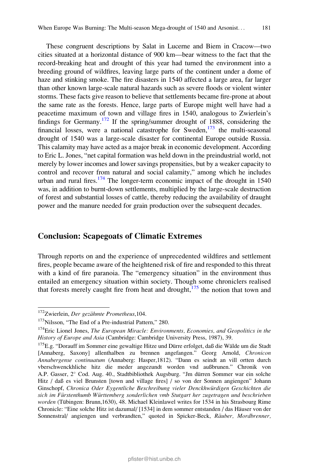These congruent descriptions by Salat in Lucerne and Biem in Cracow—two cities situated at a horizontal distance of 900 km—bear witness to the fact that the record-breaking heat and drought of this year had turned the environment into a breeding ground of wildfires, leaving large parts of the continent under a dome of haze and stinking smoke. The fire disasters in 1540 affected a large area, far larger than other known large-scale natural hazards such as severe floods or violent winter storms. These facts give reason to believe that settlements became fire-prone at about the same rate as the forests. Hence, large parts of Europe might well have had a peacetime maximum of town and village fires in 1540, analogous to Zwierlein's findings for Germany.<sup>172</sup> If the spring/summer drought of 1888, considering the financial losses, were a national catastrophe for Sweden,  $173$  the multi-seasonal drought of 1540 was a large-scale disaster for continental Europe outside Russia. This calamity may have acted as a major break in economic development. According to Eric L. Jones, "net capital formation was held down in the preindustrial world, not merely by lower incomes and lower savings propensities, but by a weaker capacity to control and recover from natural and social calamity," among which he includes urban and rural fires.<sup>174</sup> The longer-term economic impact of the drought in 1540 was, in addition to burnt-down settlements, multiplied by the large-scale destruction of forest and substantial losses of cattle, thereby reducing the availability of draught power and the manure needed for grain production over the subsequent decades.

#### Conclusion: Scapegoats of Climatic Extremes

Through reports on and the experience of unprecedented wildfires and settlement fires, people became aware of the heightened risk of fire and responded to this threat with a kind of fire paranoia. The "emergency situation" in the environment thus entailed an emergency situation within society. Though some chroniclers realised that forests merely caught fire from heat and drought, $175$  the notion that town and

 $172$ Zwierlein, Der gezähmte Prometheus, 104.

<sup>&</sup>lt;sup>173</sup>Nilsson, "The End of a Pre-industrial Pattern," 280.

 $174$ Eric Lionel Jones, The European Miracle: Environments, Economies, and Geopolitics in the History of Europe and Asia (Cambridge: Cambridge University Press, 1987), 39.

<sup>&</sup>lt;sup>175</sup>E.g. "Dorauff im Sommer eine gewaltige Hitze und Dürre erfolget, daß die Wälde um die Stadt [Annaberg, Saxony] allenthalben zu brennen angefangen." Georg Arnold, Chronicon Annabergense continuatum (Annaberg: Hasper,1812). "Dann es seindt an vill ortten durch vberschwenckhliche hitz die meder angezundt worden vnd außbrunen." Chronik von A.P. Gasser, 2° Cod. Aug. 40., Stadtbibliothek Augsburg. "Jm dürren Sommer war ein solche Hitz / daß es viel Brunsten [town and village fires] / so von der Sonnen angiengen" Johann Ginschopf, Chronica Oder Eygentliche Beschreibung vieler Denckhwürdigen Geschichten die sich im Fürstenthumb Württemberg sonderlichen vmb Stutgart her zugetragen und beschrieben worden (Tübingen: Brunn, 1630), 48. Michael Kleinlawel writes for 1534 in his Strasbourg Rime Chronicle: "Eine solche Hitz ist dazumal/ [1534] in dem sommer entstanden / das Häuser von der Sonnenstral/ angiengen und verbrandten," quoted in Spicker-Beck, Räuber, Mordbrenner,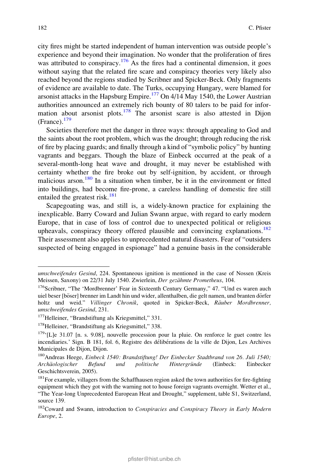city fires might be started independent of human intervention was outside people's experience and beyond their imagination. No wonder that the proliferation of fires was attributed to conspiracy.<sup>176</sup> As the fires had a continental dimension, it goes without saying that the related fire scare and conspiracy theories very likely also reached beyond the regions studied by Scribner and Spicker-Beck. Only fragments of evidence are available to date. The Turks, occupying Hungary, were blamed for arsonist attacks in the Hapsburg Empire.<sup>177</sup> On 4/14 May 1540, the Lower Austrian authorities announced an extremely rich bounty of 80 talers to be paid for information about arsonist plots.<sup>178</sup> The arsonist scare is also attested in Dijon  $(France).<sup>179</sup>$ 

Societies therefore met the danger in three ways: through appealing to God and the saints about the root problem, which was the drought; through reducing the risk of fire by placing guards; and finally through a kind of "symbolic policy" by hunting vagrants and beggars. Though the blaze of Einbeck occurred at the peak of a several-month-long heat wave and drought, it may never be established with certainty whether the fire broke out by self-ignition, by accident, or through malicious arson.<sup>180</sup> In a situation when timber, be it in the environment or fitted into buildings, had become fire-prone, a careless handling of domestic fire still entailed the greatest risk.<sup>181</sup>

Scapegoating was, and still is, a widely-known practice for explaining the inexplicable. Barry Coward and Julian Swann argue, with regard to early modern Europe, that in case of loss of control due to unexpected political or religious upheavals, conspiracy theory offered plausible and convincing explanations.<sup>182</sup> Their assessment also applies to unprecedented natural disasters. Fear of "outsiders suspected of being engaged in espionage" had a genuine basis in the considerable

umschweifendes Gesind, 224. Spontaneous ignition is mentioned in the case of Nossen (Kreis Meissen, Saxony) on 22/31 July 1540. Zwierlein, Der gezähmte Prometheus, 104.

<sup>&</sup>lt;sup>176</sup>Scribner, "The 'Mordbrenner' Fear in Sixteenth Century Germany," 47. "Und es waren auch uiel beser [böser] brenner im Landt hin und wider, allenthalben, die gelt namen, und branten dörfer holtz und weid." Villinger Chronik, quoted in Spicker-Beck, Räuber Mordbrenner, umschweifendes Gesind, 231.

<sup>&</sup>lt;sup>177</sup>Helleiner, "Brandstiftung als Kriegsmittel," 331.

<sup>&</sup>lt;sup>178</sup>Helleiner, "Brandstiftung als Kriegsmittel," 338.

 $179\text{°[L]}$ e 31.07 [n. s. 9.08], nouvelle procession pour la pluie. On renforce le guet contre les incendiaries.' Sign. B 181, fol. 6, Registre des délibérations de la ville de Dijon, Les Archives Municipales de Dijon, Dijon.

<sup>&</sup>lt;sup>180</sup>Andreas Heege, Einbeck 1540: Brandstiftung! Der Einbecker Stadtbrand von 26. Juli 1540; Archäologischer Befund und politische Hintergründe (Einbeck: Einbecker Geschichtsverein, 2005).

<sup>&</sup>lt;sup>181</sup>For example, villagers from the Schaffhausen region asked the town authorities for fire-fighting equipment which they got with the warning not to house foreign vagrants overnight. Wetter et al., "The Year-long Unprecedented European Heat and Drought," supplement, table S1, Switzerland, source 139.

<sup>&</sup>lt;sup>182</sup>Coward and Swann, introduction to Conspiracies and Conspiracy Theory in Early Modern Europe, 2.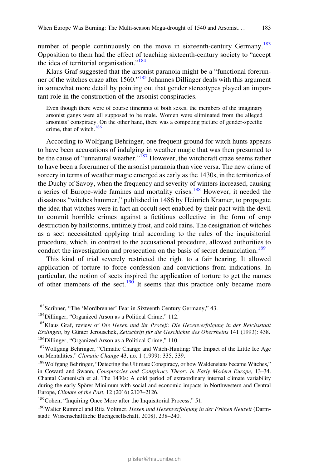number of people continuously on the move in sixteenth-century Germany.<sup>183</sup> Opposition to them had the effect of teaching sixteenth-century society to "accept the idea of territorial organisation."<sup>184</sup>

Klaus Graf suggested that the arsonist paranoia might be a "functional forerunner of the witches craze after 1560."185 Johannes Dillinger deals with this argument in somewhat more detail by pointing out that gender stereotypes played an important role in the construction of the arsonist conspiracies.

Even though there were of course itinerants of both sexes, the members of the imaginary arsonist gangs were all supposed to be male. Women were eliminated from the alleged arsonists' conspiracy. On the other hand, there was a competing picture of gender-specific crime, that of witch.<sup>186</sup>

According to Wolfgang Behringer, one frequent ground for witch hunts appears to have been accusations of indulging in weather magic that was then presumed to be the cause of "unnatural weather."<sup>187</sup> However, the witchcraft craze seems rather to have been a forerunner of the arsonist paranoia than vice versa. The new crime of sorcery in terms of weather magic emerged as early as the 1430s, in the territories of the Duchy of Savoy, when the frequency and severity of winters increased, causing a series of Europe-wide famines and mortality crises.<sup>188</sup> However, it needed the disastrous "witches hammer," published in 1486 by Heinrich Kramer, to propagate the idea that witches were in fact an occult sect enabled by their pact with the devil to commit horrible crimes against a fictitious collective in the form of crop destruction by hailstorms, untimely frost, and cold rains. The designation of witches as a sect necessitated applying trial according to the rules of the inquisitorial procedure, which, in contrast to the accusational procedure, allowed authorities to conduct the investigation and prosecution on the basis of secret denunciation.<sup>189</sup>

This kind of trial severely restricted the right to a fair hearing. It allowed application of torture to force confession and convictions from indications. In particular, the notion of sects inspired the application of torture to get the names of other members of the sect.<sup>190</sup> It seems that this practice only became more

<sup>&</sup>lt;sup>183</sup>Scribner, "The 'Mordbrenner' Fear in Sixteenth Century Germany," 43.

<sup>&</sup>lt;sup>184</sup>Dillinger, "Organized Arson as a Political Crime," 112.

<sup>&</sup>lt;sup>185</sup>Klaus Graf, review of Die Hexen und ihr Prozeβ: Die Hexenverfolgung in der Reichsstadt Esslingen, by Günter Jerouschek, Zeitschrift für die Geschichte des Oberrheins 141 (1993): 438. <sup>186</sup>Dillinger, "Organized Arson as a Political Crime," 110.

<sup>&</sup>lt;sup>187</sup>Wolfgang Behringer, "Climatic Change and Witch-Hunting: The Impact of the Little Ice Age on Mentalities," Climatic Change 43, no. 1 (1999): 335, 339.

<sup>&</sup>lt;sup>188</sup>Wolfgang Behringer, "Detecting the Ultimate Conspiracy, or how Waldensians became Witches," in Coward and Swann, Conspiracies and Conspiracy Theory in Early Modern Europe, 13–34. Chantal Camenisch et al. The 1430s: A cold period of extraordinary internal climate variability during the early Spörer Minimum with social and economic impacts in Northwestern and Central Europe, Climate of the Past, 12 (2016) 2107–2126.

<sup>&</sup>lt;sup>189</sup>Cohen, "Inquiring Once More after the Inquisitorial Process," 51.

<sup>&</sup>lt;sup>190</sup>Walter Rummel and Rita Voltmer, Hexen und Hexenverfolgung in der Frühen Neuzeit (Darmstadt: Wissenschaftliche Buchgesellschaft, 2008), 238–240.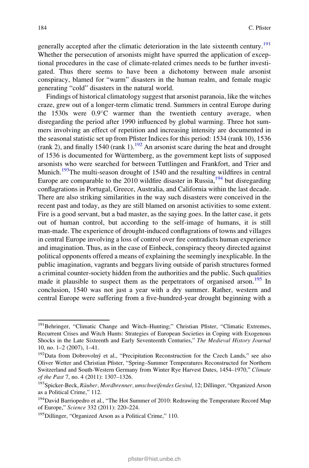generally accepted after the climatic deterioration in the late sixteenth century.<sup>191</sup> Whether the persecution of arsonists might have spurred the application of exceptional procedures in the case of climate-related crimes needs to be further investigated. Thus there seems to have been a dichotomy between male arsonist conspiracy, blamed for "warm" disasters in the human realm, and female magic generating "cold" disasters in the natural world.

Findings of historical climatology suggest that arsonist paranoia, like the witches craze, grew out of a longer-term climatic trend. Summers in central Europe during the  $1530s$  were  $0.9^{\circ}$ C warmer than the twentieth century average, when disregarding the period after 1990 influenced by global warming. Three hot summers involving an effect of repetition and increasing intensity are documented in the seasonal statistic set up from Pfister Indices for this period: 1534 (rank 10), 1536 (rank 2), and finally  $1540$  (rank 1).<sup>192</sup> An arsonist scare during the heat and drought of 1536 is documented for Württemberg, as the government kept lists of supposed arsonists who were searched for between Tuttlingen and Frankfort, and Trier and Munich.<sup>193</sup>The multi-season drought of 1540 and the resulting wildfires in central Europe are comparable to the 2010 wildfire disaster in Russia,  $^{194}$  but disregarding conflagrations in Portugal, Greece, Australia, and California within the last decade. There are also striking similarities in the way such disasters were conceived in the recent past and today, as they are still blamed on arsonist activities to some extent. Fire is a good servant, but a bad master, as the saying goes. In the latter case, it gets out of human control, but according to the self-image of humans, it is still man-made. The experience of drought-induced conflagrations of towns and villages in central Europe involving a loss of control over fire contradicts human experience and imagination. Thus, as in the case of Einbeck, conspiracy theory directed against political opponents offered a means of explaining the seemingly inexplicable. In the public imagination, vagrants and beggars living outside of parish structures formed a criminal counter-society hidden from the authorities and the public. Such qualities made it plausible to suspect them as the perpetrators of organised arson.<sup>195</sup> In conclusion, 1540 was not just a year with a dry summer. Rather, western and central Europe were suffering from a five-hundred-year drought beginning with a

<sup>&</sup>lt;sup>191</sup>Behringer, "Climatic Change and Witch-Hunting;" Christian Pfister, "Climatic Extremes, Recurrent Crises and Witch Hunts: Strategies of European Societies in Coping with Exogenous Shocks in the Late Sixteenth and Early Seventeenth Centuries," The Medieval History Journal 10, no. 1–2 (2007), 1–41.

<sup>&</sup>lt;sup>192</sup>Data from Dobrovolný et al., "Precipitation Reconstruction for the Czech Lands," see also Oliver Wetter and Christian Pfister, "Spring–Summer Temperatures Reconstructed for Northern Switzerland and South-Western Germany from Winter Rye Harvest Dates, 1454–1970," Climate of the Past 7, no. 4 (2011): 1307–1326.

<sup>&</sup>lt;sup>193</sup>Spicker-Beck, Räuber, Mordbrenner, umschweifendes Gesind, 12; Dillinger, "Organized Arson as a Political Crime," 112.

<sup>&</sup>lt;sup>194</sup>David Barriopedro et al., "The Hot Summer of 2010: Redrawing the Temperature Record Map of Europe," Science 332 (2011): 220–224.

<sup>&</sup>lt;sup>195</sup>Dillinger, "Organized Arson as a Political Crime," 110.